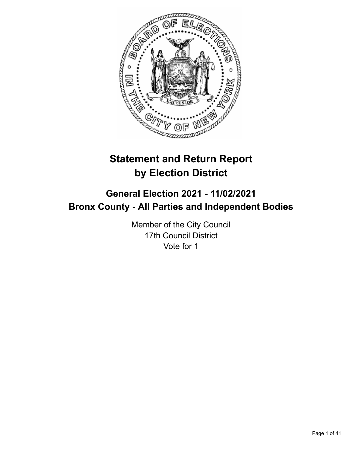

# **Statement and Return Report by Election District**

# **General Election 2021 - 11/02/2021 Bronx County - All Parties and Independent Bodies**

Member of the City Council 17th Council District Vote for 1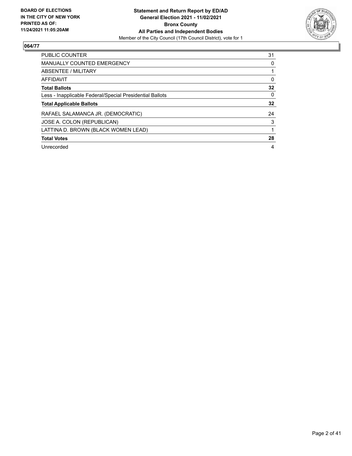

| PUBLIC COUNTER                                           | 31       |
|----------------------------------------------------------|----------|
| <b>MANUALLY COUNTED EMERGENCY</b>                        | 0        |
| ABSENTEE / MILITARY                                      |          |
| AFFIDAVIT                                                | 0        |
| <b>Total Ballots</b>                                     | 32       |
| Less - Inapplicable Federal/Special Presidential Ballots | $\Omega$ |
| <b>Total Applicable Ballots</b>                          | 32       |
| RAFAEL SALAMANCA JR. (DEMOCRATIC)                        | 24       |
| JOSE A. COLON (REPUBLICAN)                               | 3        |
| LATTINA D. BROWN (BLACK WOMEN LEAD)                      |          |
| <b>Total Votes</b>                                       | 28       |
| Unrecorded                                               | 4        |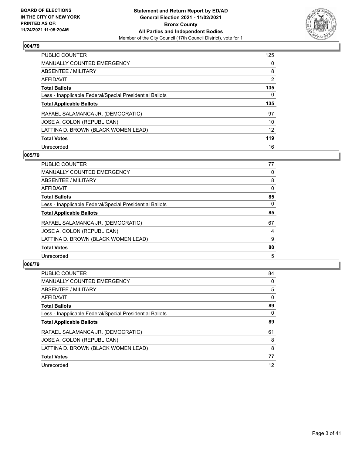

| <b>PUBLIC COUNTER</b>                                    | 125            |
|----------------------------------------------------------|----------------|
| <b>MANUALLY COUNTED EMERGENCY</b>                        | $\Omega$       |
| ABSENTEE / MILITARY                                      | 8              |
| AFFIDAVIT                                                | $\overline{2}$ |
| <b>Total Ballots</b>                                     | 135            |
| Less - Inapplicable Federal/Special Presidential Ballots | 0              |
| <b>Total Applicable Ballots</b>                          | 135            |
| RAFAEL SALAMANCA JR. (DEMOCRATIC)                        | 97             |
|                                                          |                |
| JOSE A. COLON (REPUBLICAN)                               | 10             |
| LATTINA D. BROWN (BLACK WOMEN LEAD)                      | 12             |
| <b>Total Votes</b>                                       | 119            |

# **005/79**

| <b>PUBLIC COUNTER</b>                                    | 77       |
|----------------------------------------------------------|----------|
| MANUALLY COUNTED EMERGENCY                               | 0        |
| ABSENTEE / MILITARY                                      | 8        |
| <b>AFFIDAVIT</b>                                         | 0        |
| <b>Total Ballots</b>                                     | 85       |
| Less - Inapplicable Federal/Special Presidential Ballots | $\Omega$ |
| <b>Total Applicable Ballots</b>                          | 85       |
| RAFAEL SALAMANCA JR. (DEMOCRATIC)                        | 67       |
| JOSE A. COLON (REPUBLICAN)                               | 4        |
| LATTINA D. BROWN (BLACK WOMEN LEAD)                      | 9        |
| <b>Total Votes</b>                                       | 80       |
| Unrecorded                                               | 5        |

| <b>PUBLIC COUNTER</b>                                    | 84       |
|----------------------------------------------------------|----------|
| <b>MANUALLY COUNTED EMERGENCY</b>                        | 0        |
| ABSENTEE / MILITARY                                      | 5        |
| AFFIDAVIT                                                | $\Omega$ |
| <b>Total Ballots</b>                                     | 89       |
| Less - Inapplicable Federal/Special Presidential Ballots | $\Omega$ |
| <b>Total Applicable Ballots</b>                          | 89       |
| RAFAEL SALAMANCA JR. (DEMOCRATIC)                        | 61       |
| JOSE A. COLON (REPUBLICAN)                               | 8        |
| LATTINA D. BROWN (BLACK WOMEN LEAD)                      | 8        |
| <b>Total Votes</b>                                       | 77       |
| Unrecorded                                               | 12       |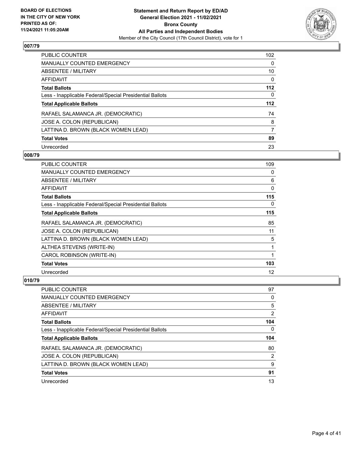

| <b>PUBLIC COUNTER</b>                                    | 102      |
|----------------------------------------------------------|----------|
| <b>MANUALLY COUNTED EMERGENCY</b>                        | $\Omega$ |
| ABSENTEE / MILITARY                                      | 10       |
| AFFIDAVIT                                                | 0        |
| <b>Total Ballots</b>                                     | $112$    |
| Less - Inapplicable Federal/Special Presidential Ballots | 0        |
| <b>Total Applicable Ballots</b>                          | 112      |
| RAFAEL SALAMANCA JR. (DEMOCRATIC)                        | 74       |
| JOSE A. COLON (REPUBLICAN)                               | 8        |
| LATTINA D. BROWN (BLACK WOMEN LEAD)                      | 7        |
| <b>Total Votes</b>                                       | 89       |
| Unrecorded                                               | 23       |

## **008/79**

| <b>PUBLIC COUNTER</b>                                    | 109      |
|----------------------------------------------------------|----------|
| <b>MANUALLY COUNTED EMERGENCY</b>                        | 0        |
| ABSENTEE / MILITARY                                      | 6        |
| <b>AFFIDAVIT</b>                                         | 0        |
| <b>Total Ballots</b>                                     | 115      |
| Less - Inapplicable Federal/Special Presidential Ballots | $\Omega$ |
| <b>Total Applicable Ballots</b>                          | 115      |
| RAFAEL SALAMANCA JR. (DEMOCRATIC)                        | 85       |
| JOSE A. COLON (REPUBLICAN)                               | 11       |
| LATTINA D. BROWN (BLACK WOMEN LEAD)                      | 5        |
| ALTHEA STEVENS (WRITE-IN)                                | 1        |
| CAROL ROBINSON (WRITE-IN)                                |          |
| <b>Total Votes</b>                                       | 103      |
| Unrecorded                                               | 12       |

| <b>PUBLIC COUNTER</b>                                    | 97  |
|----------------------------------------------------------|-----|
| MANUALLY COUNTED EMERGENCY                               | 0   |
| ABSENTEE / MILITARY                                      | 5   |
| AFFIDAVIT                                                | 2   |
| <b>Total Ballots</b>                                     | 104 |
| Less - Inapplicable Federal/Special Presidential Ballots | 0   |
|                                                          |     |
| <b>Total Applicable Ballots</b>                          | 104 |
| RAFAEL SALAMANCA JR. (DEMOCRATIC)                        | 80  |
| JOSE A. COLON (REPUBLICAN)                               | 2   |
| LATTINA D. BROWN (BLACK WOMEN LEAD)                      | 9   |
| <b>Total Votes</b>                                       | 91  |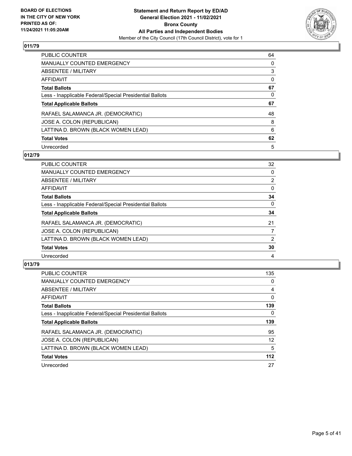

| PUBLIC COUNTER                                           | 64       |
|----------------------------------------------------------|----------|
| <b>MANUALLY COUNTED EMERGENCY</b>                        | $\Omega$ |
| ABSENTEE / MILITARY                                      | 3        |
| AFFIDAVIT                                                | 0        |
| <b>Total Ballots</b>                                     | 67       |
| Less - Inapplicable Federal/Special Presidential Ballots | 0        |
| <b>Total Applicable Ballots</b>                          | 67       |
| RAFAEL SALAMANCA JR. (DEMOCRATIC)                        | 48       |
| JOSE A. COLON (REPUBLICAN)                               | 8        |
| LATTINA D. BROWN (BLACK WOMEN LEAD)                      | 6        |
| <b>Total Votes</b>                                       | 62       |
| Unrecorded                                               | 5        |

## **012/79**

| <b>PUBLIC COUNTER</b>                                    | 32             |
|----------------------------------------------------------|----------------|
| <b>MANUALLY COUNTED EMERGENCY</b>                        | $\Omega$       |
| ABSENTEE / MILITARY                                      | $\overline{2}$ |
| <b>AFFIDAVIT</b>                                         | $\Omega$       |
| <b>Total Ballots</b>                                     | 34             |
| Less - Inapplicable Federal/Special Presidential Ballots | 0              |
| <b>Total Applicable Ballots</b>                          | 34             |
| RAFAEL SALAMANCA JR. (DEMOCRATIC)                        | 21             |
| JOSE A. COLON (REPUBLICAN)                               |                |
| LATTINA D. BROWN (BLACK WOMEN LEAD)                      | 2              |
| <b>Total Votes</b>                                       | 30             |
| Unrecorded                                               | 4              |

| <b>PUBLIC COUNTER</b>                                    | 135      |
|----------------------------------------------------------|----------|
| <b>MANUALLY COUNTED EMERGENCY</b>                        | 0        |
| ABSENTEE / MILITARY                                      | 4        |
| AFFIDAVIT                                                | $\Omega$ |
| <b>Total Ballots</b>                                     | 139      |
| Less - Inapplicable Federal/Special Presidential Ballots | $\Omega$ |
| <b>Total Applicable Ballots</b>                          | 139      |
| RAFAEL SALAMANCA JR. (DEMOCRATIC)                        | 95       |
| JOSE A. COLON (REPUBLICAN)                               | 12       |
| LATTINA D. BROWN (BLACK WOMEN LEAD)                      | 5        |
| <b>Total Votes</b>                                       | $112$    |
| Unrecorded                                               | 27       |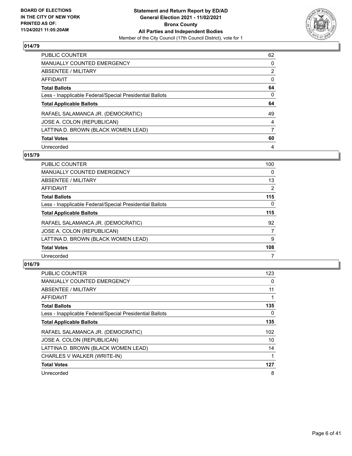

| PUBLIC COUNTER                                           | 62             |
|----------------------------------------------------------|----------------|
| <b>MANUALLY COUNTED EMERGENCY</b>                        | $\Omega$       |
| ABSENTEE / MILITARY                                      | $\overline{2}$ |
| AFFIDAVIT                                                | $\Omega$       |
| <b>Total Ballots</b>                                     | 64             |
| Less - Inapplicable Federal/Special Presidential Ballots | 0              |
| <b>Total Applicable Ballots</b>                          | 64             |
| RAFAEL SALAMANCA JR. (DEMOCRATIC)                        | 49             |
| JOSE A. COLON (REPUBLICAN)                               | 4              |
|                                                          |                |
| LATTINA D. BROWN (BLACK WOMEN LEAD)                      | 7              |
| <b>Total Votes</b>                                       | 60             |

## **015/79**

| PUBLIC COUNTER                                           | 100            |
|----------------------------------------------------------|----------------|
| <b>MANUALLY COUNTED EMERGENCY</b>                        | 0              |
| ABSENTEE / MILITARY                                      | 13             |
| <b>AFFIDAVIT</b>                                         | $\overline{2}$ |
| <b>Total Ballots</b>                                     | 115            |
| Less - Inapplicable Federal/Special Presidential Ballots | $\Omega$       |
| <b>Total Applicable Ballots</b>                          | 115            |
| RAFAEL SALAMANCA JR. (DEMOCRATIC)                        | 92             |
| JOSE A. COLON (REPUBLICAN)                               | $\overline{7}$ |
| LATTINA D. BROWN (BLACK WOMEN LEAD)                      | 9              |
| <b>Total Votes</b>                                       | 108            |
| Unrecorded                                               |                |

| <b>PUBLIC COUNTER</b>                                    | 123 |
|----------------------------------------------------------|-----|
| <b>MANUALLY COUNTED EMERGENCY</b>                        | 0   |
| ABSENTEE / MILITARY                                      | 11  |
| AFFIDAVIT                                                |     |
| <b>Total Ballots</b>                                     | 135 |
| Less - Inapplicable Federal/Special Presidential Ballots | 0   |
| <b>Total Applicable Ballots</b>                          | 135 |
| RAFAEL SALAMANCA JR. (DEMOCRATIC)                        | 102 |
| JOSE A. COLON (REPUBLICAN)                               | 10  |
| LATTINA D. BROWN (BLACK WOMEN LEAD)                      | 14  |
| CHARLES V WALKER (WRITE-IN)                              |     |
| <b>Total Votes</b>                                       | 127 |
| Unrecorded                                               | 8   |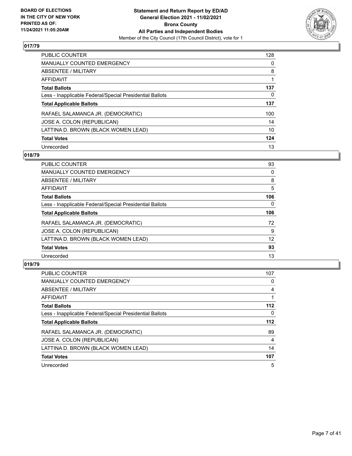

| <b>PUBLIC COUNTER</b>                                    | 128      |
|----------------------------------------------------------|----------|
| <b>MANUALLY COUNTED EMERGENCY</b>                        | 0        |
| ABSENTEE / MILITARY                                      | 8        |
| AFFIDAVIT                                                |          |
| <b>Total Ballots</b>                                     | 137      |
| Less - Inapplicable Federal/Special Presidential Ballots | $\Omega$ |
| <b>Total Applicable Ballots</b>                          | 137      |
| RAFAEL SALAMANCA JR. (DEMOCRATIC)                        | 100      |
| JOSE A. COLON (REPUBLICAN)                               | 14       |
| LATTINA D. BROWN (BLACK WOMEN LEAD)                      | 10       |
| <b>Total Votes</b>                                       | 124      |
| Unrecorded                                               | 13       |

## **018/79**

| <b>PUBLIC COUNTER</b>                                    | 93       |
|----------------------------------------------------------|----------|
| <b>MANUALLY COUNTED EMERGENCY</b>                        | 0        |
| ABSENTEE / MILITARY                                      | 8        |
| <b>AFFIDAVIT</b>                                         | 5        |
| <b>Total Ballots</b>                                     | 106      |
| Less - Inapplicable Federal/Special Presidential Ballots | $\Omega$ |
| <b>Total Applicable Ballots</b>                          | 106      |
| RAFAEL SALAMANCA JR. (DEMOCRATIC)                        | 72       |
| JOSE A. COLON (REPUBLICAN)                               | 9        |
| LATTINA D. BROWN (BLACK WOMEN LEAD)                      | 12       |
| <b>Total Votes</b>                                       | 93       |
| Unrecorded                                               | 13       |

| <b>PUBLIC COUNTER</b>                                    | 107   |
|----------------------------------------------------------|-------|
| <b>MANUALLY COUNTED EMERGENCY</b>                        | 0     |
| ABSENTEE / MILITARY                                      | 4     |
| <b>AFFIDAVIT</b>                                         |       |
| <b>Total Ballots</b>                                     | $112$ |
| Less - Inapplicable Federal/Special Presidential Ballots | 0     |
| <b>Total Applicable Ballots</b>                          | 112   |
| RAFAEL SALAMANCA JR. (DEMOCRATIC)                        | 89    |
| JOSE A. COLON (REPUBLICAN)                               | 4     |
| LATTINA D. BROWN (BLACK WOMEN LEAD)                      | 14    |
| <b>Total Votes</b>                                       | 107   |
| Unrecorded                                               | 5     |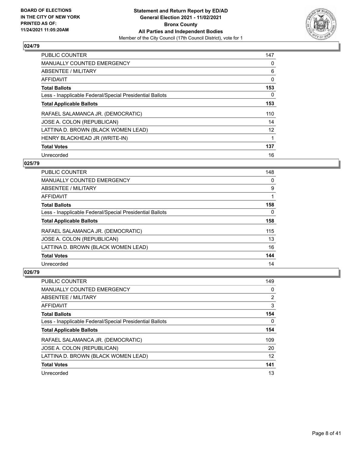

| <b>PUBLIC COUNTER</b>                                    | 147 |
|----------------------------------------------------------|-----|
| <b>MANUALLY COUNTED EMERGENCY</b>                        | 0   |
| <b>ABSENTEE / MILITARY</b>                               | 6   |
| <b>AFFIDAVIT</b>                                         | 0   |
| <b>Total Ballots</b>                                     | 153 |
| Less - Inapplicable Federal/Special Presidential Ballots | 0   |
| <b>Total Applicable Ballots</b>                          | 153 |
| RAFAEL SALAMANCA JR. (DEMOCRATIC)                        | 110 |
| JOSE A. COLON (REPUBLICAN)                               | 14  |
| LATTINA D. BROWN (BLACK WOMEN LEAD)                      | 12  |
| HENRY BLACKHEAD JR (WRITE-IN)                            |     |
| <b>Total Votes</b>                                       | 137 |
| Unrecorded                                               | 16  |

# **025/79**

| <b>PUBLIC COUNTER</b>                                    | 148 |
|----------------------------------------------------------|-----|
| <b>MANUALLY COUNTED EMERGENCY</b>                        | 0   |
| ABSENTEE / MILITARY                                      | 9   |
| AFFIDAVIT                                                |     |
| <b>Total Ballots</b>                                     | 158 |
| Less - Inapplicable Federal/Special Presidential Ballots | 0   |
| <b>Total Applicable Ballots</b>                          | 158 |
| RAFAEL SALAMANCA JR. (DEMOCRATIC)                        | 115 |
| JOSE A. COLON (REPUBLICAN)                               | 13  |
| LATTINA D. BROWN (BLACK WOMEN LEAD)                      | 16  |
| <b>Total Votes</b>                                       | 144 |
| Unrecorded                                               | 14  |

| PUBLIC COUNTER                                           | 149 |
|----------------------------------------------------------|-----|
| <b>MANUALLY COUNTED EMERGENCY</b>                        | 0   |
| ABSENTEE / MILITARY                                      | 2   |
| AFFIDAVIT                                                | 3   |
| <b>Total Ballots</b>                                     | 154 |
| Less - Inapplicable Federal/Special Presidential Ballots | 0   |
| <b>Total Applicable Ballots</b>                          | 154 |
| RAFAEL SALAMANCA JR. (DEMOCRATIC)                        | 109 |
| JOSE A. COLON (REPUBLICAN)                               | 20  |
| LATTINA D. BROWN (BLACK WOMEN LEAD)                      | 12  |
| <b>Total Votes</b>                                       | 141 |
| Unrecorded                                               | 13  |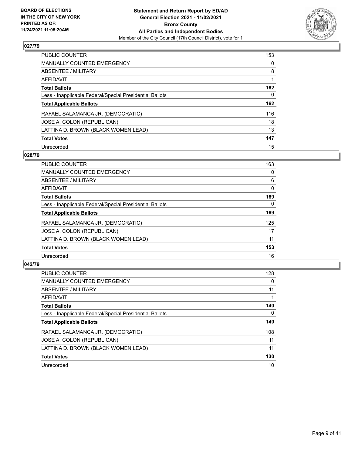

| <b>PUBLIC COUNTER</b>                                    | 153      |
|----------------------------------------------------------|----------|
| <b>MANUALLY COUNTED EMERGENCY</b>                        | $\Omega$ |
| ABSENTEE / MILITARY                                      | 8        |
| AFFIDAVIT                                                |          |
| <b>Total Ballots</b>                                     | 162      |
| Less - Inapplicable Federal/Special Presidential Ballots | 0        |
| <b>Total Applicable Ballots</b>                          | 162      |
| RAFAEL SALAMANCA JR. (DEMOCRATIC)                        | 116      |
| JOSE A. COLON (REPUBLICAN)                               | 18       |
| LATTINA D. BROWN (BLACK WOMEN LEAD)                      | 13       |
| <b>Total Votes</b>                                       | 147      |
| Unrecorded                                               | 15       |

## **028/79**

| <b>PUBLIC COUNTER</b>                                    | 163      |
|----------------------------------------------------------|----------|
| <b>MANUALLY COUNTED EMERGENCY</b>                        | 0        |
| ABSENTEE / MILITARY                                      | 6        |
| <b>AFFIDAVIT</b>                                         | $\Omega$ |
| <b>Total Ballots</b>                                     | 169      |
| Less - Inapplicable Federal/Special Presidential Ballots | $\Omega$ |
| <b>Total Applicable Ballots</b>                          | 169      |
| RAFAEL SALAMANCA JR. (DEMOCRATIC)                        | 125      |
| JOSE A. COLON (REPUBLICAN)                               | 17       |
| LATTINA D. BROWN (BLACK WOMEN LEAD)                      | 11       |
| <b>Total Votes</b>                                       | 153      |
| Unrecorded                                               | 16       |

| <b>PUBLIC COUNTER</b>                                    | 128      |
|----------------------------------------------------------|----------|
| MANUALLY COUNTED EMERGENCY                               | $\Omega$ |
| ABSENTEE / MILITARY                                      | 11       |
| <b>AFFIDAVIT</b>                                         |          |
| <b>Total Ballots</b>                                     | 140      |
| Less - Inapplicable Federal/Special Presidential Ballots | $\Omega$ |
| <b>Total Applicable Ballots</b>                          | 140      |
| RAFAEL SALAMANCA JR. (DEMOCRATIC)                        | 108      |
| JOSE A. COLON (REPUBLICAN)                               | 11       |
| LATTINA D. BROWN (BLACK WOMEN LEAD)                      | 11       |
| <b>Total Votes</b>                                       | 130      |
| Unrecorded                                               | 10       |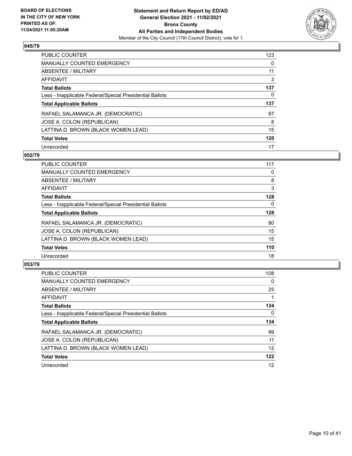

| <b>PUBLIC COUNTER</b>                                    | 123      |
|----------------------------------------------------------|----------|
| <b>MANUALLY COUNTED EMERGENCY</b>                        | $\Omega$ |
| ABSENTEE / MILITARY                                      | 11       |
| AFFIDAVIT                                                | 3        |
| <b>Total Ballots</b>                                     | 137      |
| Less - Inapplicable Federal/Special Presidential Ballots | 0        |
| <b>Total Applicable Ballots</b>                          | 137      |
| RAFAEL SALAMANCA JR. (DEMOCRATIC)                        | 97       |
| JOSE A. COLON (REPUBLICAN)                               | 8        |
| LATTINA D. BROWN (BLACK WOMEN LEAD)                      | 15       |
| <b>Total Votes</b>                                       | 120      |
| Unrecorded                                               | 17       |

## **052/79**

| <b>PUBLIC COUNTER</b>                                    | 117      |
|----------------------------------------------------------|----------|
| <b>MANUALLY COUNTED EMERGENCY</b>                        | 0        |
| ABSENTEE / MILITARY                                      | 8        |
| <b>AFFIDAVIT</b>                                         | 3        |
| <b>Total Ballots</b>                                     | 128      |
| Less - Inapplicable Federal/Special Presidential Ballots | $\Omega$ |
| <b>Total Applicable Ballots</b>                          | 128      |
| RAFAEL SALAMANCA JR. (DEMOCRATIC)                        | 80       |
| JOSE A. COLON (REPUBLICAN)                               | 15       |
| LATTINA D. BROWN (BLACK WOMEN LEAD)                      | 15       |
| <b>Total Votes</b>                                       | 110      |
| Unrecorded                                               | 18       |

| <b>PUBLIC COUNTER</b>                                    | 108      |
|----------------------------------------------------------|----------|
| <b>MANUALLY COUNTED EMERGENCY</b>                        | $\Omega$ |
| ABSENTEE / MILITARY                                      | 25       |
| <b>AFFIDAVIT</b>                                         |          |
| <b>Total Ballots</b>                                     | 134      |
| Less - Inapplicable Federal/Special Presidential Ballots | 0        |
| <b>Total Applicable Ballots</b>                          | 134      |
| RAFAEL SALAMANCA JR. (DEMOCRATIC)                        | 99       |
| JOSE A. COLON (REPUBLICAN)                               | 11       |
| LATTINA D. BROWN (BLACK WOMEN LEAD)                      | 12       |
| <b>Total Votes</b>                                       | 122      |
| Unrecorded                                               | 12       |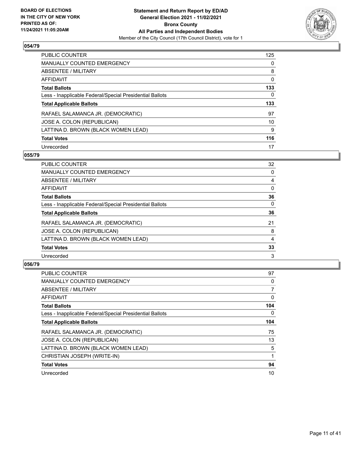

| <b>PUBLIC COUNTER</b>                                    | 125      |
|----------------------------------------------------------|----------|
| <b>MANUALLY COUNTED EMERGENCY</b>                        | $\Omega$ |
| ABSENTEE / MILITARY                                      | 8        |
| AFFIDAVIT                                                | 0        |
| <b>Total Ballots</b>                                     | 133      |
| Less - Inapplicable Federal/Special Presidential Ballots | 0        |
| <b>Total Applicable Ballots</b>                          | 133      |
| RAFAEL SALAMANCA JR. (DEMOCRATIC)                        | 97       |
| JOSE A. COLON (REPUBLICAN)                               | 10       |
| LATTINA D. BROWN (BLACK WOMEN LEAD)                      | 9        |
| <b>Total Votes</b>                                       | 116      |
| Unrecorded                                               | 17       |

## **055/79**

| <b>PUBLIC COUNTER</b>                                    | 32       |
|----------------------------------------------------------|----------|
| <b>MANUALLY COUNTED EMERGENCY</b>                        | $\Omega$ |
| ABSENTEE / MILITARY                                      | 4        |
| <b>AFFIDAVIT</b>                                         | 0        |
| <b>Total Ballots</b>                                     | 36       |
| Less - Inapplicable Federal/Special Presidential Ballots | $\Omega$ |
| <b>Total Applicable Ballots</b>                          | 36       |
| RAFAEL SALAMANCA JR. (DEMOCRATIC)                        | 21       |
| JOSE A. COLON (REPUBLICAN)                               | 8        |
| LATTINA D. BROWN (BLACK WOMEN LEAD)                      | 4        |
| <b>Total Votes</b>                                       | 33       |
| Unrecorded                                               | 3        |

| <b>PUBLIC COUNTER</b>                                    | 97  |
|----------------------------------------------------------|-----|
| <b>MANUALLY COUNTED EMERGENCY</b>                        | 0   |
| ABSENTEE / MILITARY                                      | 7   |
| AFFIDAVIT                                                | 0   |
| <b>Total Ballots</b>                                     | 104 |
| Less - Inapplicable Federal/Special Presidential Ballots | 0   |
| <b>Total Applicable Ballots</b>                          | 104 |
| RAFAEL SALAMANCA JR. (DEMOCRATIC)                        | 75  |
| JOSE A. COLON (REPUBLICAN)                               | 13  |
| LATTINA D. BROWN (BLACK WOMEN LEAD)                      | 5   |
| CHRISTIAN JOSEPH (WRITE-IN)                              |     |
| <b>Total Votes</b>                                       | 94  |
| Unrecorded                                               | 10  |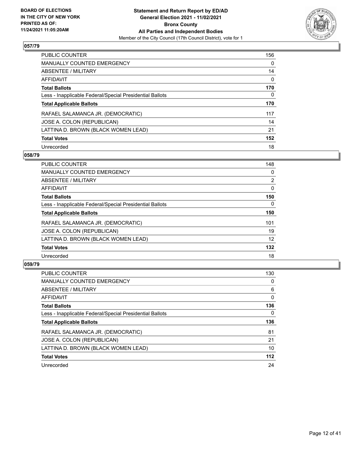

| <b>PUBLIC COUNTER</b>                                    | 156      |
|----------------------------------------------------------|----------|
| <b>MANUALLY COUNTED EMERGENCY</b>                        | $\Omega$ |
| ABSENTEE / MILITARY                                      | 14       |
| <b>AFFIDAVIT</b>                                         | $\Omega$ |
| <b>Total Ballots</b>                                     | 170      |
| Less - Inapplicable Federal/Special Presidential Ballots | 0        |
| <b>Total Applicable Ballots</b>                          | 170      |
| RAFAEL SALAMANCA JR. (DEMOCRATIC)                        | 117      |
| JOSE A. COLON (REPUBLICAN)                               | 14       |
| LATTINA D. BROWN (BLACK WOMEN LEAD)                      | 21       |
| <b>Total Votes</b>                                       | 152      |
|                                                          | 18       |

## **058/79**

| <b>PUBLIC COUNTER</b>                                    | 148            |
|----------------------------------------------------------|----------------|
| <b>MANUALLY COUNTED EMERGENCY</b>                        | 0              |
| ABSENTEE / MILITARY                                      | $\overline{2}$ |
| <b>AFFIDAVIT</b>                                         | $\Omega$       |
| <b>Total Ballots</b>                                     | 150            |
| Less - Inapplicable Federal/Special Presidential Ballots | $\Omega$       |
| <b>Total Applicable Ballots</b>                          | 150            |
| RAFAEL SALAMANCA JR. (DEMOCRATIC)                        | 101            |
| JOSE A. COLON (REPUBLICAN)                               | 19             |
| LATTINA D. BROWN (BLACK WOMEN LEAD)                      | 12             |
| <b>Total Votes</b>                                       | 132            |
| Unrecorded                                               | 18             |

| <b>PUBLIC COUNTER</b>                                    | 130      |
|----------------------------------------------------------|----------|
| <b>MANUALLY COUNTED EMERGENCY</b>                        | 0        |
| ABSENTEE / MILITARY                                      | 6        |
| <b>AFFIDAVIT</b>                                         | $\Omega$ |
| <b>Total Ballots</b>                                     | 136      |
| Less - Inapplicable Federal/Special Presidential Ballots | 0        |
| <b>Total Applicable Ballots</b>                          | 136      |
| RAFAEL SALAMANCA JR. (DEMOCRATIC)                        | 81       |
|                                                          |          |
| JOSE A. COLON (REPUBLICAN)                               | 21       |
| LATTINA D. BROWN (BLACK WOMEN LEAD)                      | 10       |
| <b>Total Votes</b>                                       | $112$    |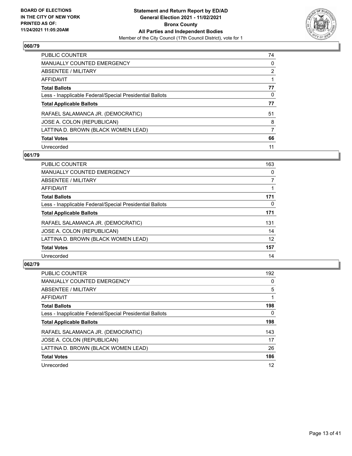

| <b>PUBLIC COUNTER</b>                                    | 74             |
|----------------------------------------------------------|----------------|
| <b>MANUALLY COUNTED EMERGENCY</b>                        | $\Omega$       |
| ABSENTEE / MILITARY                                      | $\overline{2}$ |
| AFFIDAVIT                                                |                |
| <b>Total Ballots</b>                                     | 77             |
| Less - Inapplicable Federal/Special Presidential Ballots | 0              |
| <b>Total Applicable Ballots</b>                          | 77             |
| RAFAEL SALAMANCA JR. (DEMOCRATIC)                        | 51             |
| JOSE A. COLON (REPUBLICAN)                               | 8              |
| LATTINA D. BROWN (BLACK WOMEN LEAD)                      | 7              |
| <b>Total Votes</b>                                       | 66             |
| Unrecorded                                               | 11             |

## **061/79**

| <b>PUBLIC COUNTER</b>                                    | 163      |
|----------------------------------------------------------|----------|
| <b>MANUALLY COUNTED EMERGENCY</b>                        | 0        |
| ABSENTEE / MILITARY                                      | 7        |
| <b>AFFIDAVIT</b>                                         |          |
| <b>Total Ballots</b>                                     | 171      |
| Less - Inapplicable Federal/Special Presidential Ballots | $\Omega$ |
| <b>Total Applicable Ballots</b>                          | 171      |
| RAFAEL SALAMANCA JR. (DEMOCRATIC)                        | 131      |
| JOSE A. COLON (REPUBLICAN)                               | 14       |
| LATTINA D. BROWN (BLACK WOMEN LEAD)                      | 12       |
| <b>Total Votes</b>                                       | 157      |
| Unrecorded                                               | 14       |

| PUBLIC COUNTER                                           | 192      |
|----------------------------------------------------------|----------|
| <b>MANUALLY COUNTED EMERGENCY</b>                        | 0        |
| ABSENTEE / MILITARY                                      | 5        |
| <b>AFFIDAVIT</b>                                         |          |
| <b>Total Ballots</b>                                     | 198      |
| Less - Inapplicable Federal/Special Presidential Ballots | $\Omega$ |
| <b>Total Applicable Ballots</b>                          | 198      |
| RAFAEL SALAMANCA JR. (DEMOCRATIC)                        | 143      |
| JOSE A. COLON (REPUBLICAN)                               | 17       |
| LATTINA D. BROWN (BLACK WOMEN LEAD)                      | 26       |
| <b>Total Votes</b>                                       | 186      |
| Unrecorded                                               | 12       |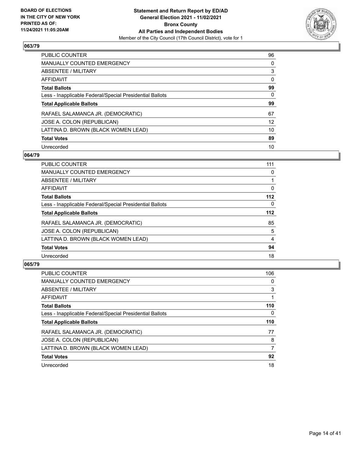

| <b>PUBLIC COUNTER</b>                                    | 96       |
|----------------------------------------------------------|----------|
| <b>MANUALLY COUNTED EMERGENCY</b>                        | $\Omega$ |
| ABSENTEE / MILITARY                                      | 3        |
| AFFIDAVIT                                                | $\Omega$ |
| <b>Total Ballots</b>                                     | 99       |
| Less - Inapplicable Federal/Special Presidential Ballots | 0        |
| <b>Total Applicable Ballots</b>                          | 99       |
| RAFAEL SALAMANCA JR. (DEMOCRATIC)                        | 67       |
| JOSE A. COLON (REPUBLICAN)                               | 12       |
| LATTINA D. BROWN (BLACK WOMEN LEAD)                      | 10       |
| <b>Total Votes</b>                                       | 89       |
| Unrecorded                                               | 10       |

## **064/79**

| <b>PUBLIC COUNTER</b>                                    | 111      |
|----------------------------------------------------------|----------|
| <b>MANUALLY COUNTED EMERGENCY</b>                        | 0        |
| ABSENTEE / MILITARY                                      |          |
| <b>AFFIDAVIT</b>                                         | $\Omega$ |
| <b>Total Ballots</b>                                     | $112$    |
| Less - Inapplicable Federal/Special Presidential Ballots | $\Omega$ |
| <b>Total Applicable Ballots</b>                          | $112$    |
| RAFAEL SALAMANCA JR. (DEMOCRATIC)                        | 85       |
| JOSE A. COLON (REPUBLICAN)                               | 5        |
| LATTINA D. BROWN (BLACK WOMEN LEAD)                      | 4        |
| <b>Total Votes</b>                                       | 94       |
| Unrecorded                                               | 18       |

| <b>PUBLIC COUNTER</b>                                    | 106 |
|----------------------------------------------------------|-----|
| <b>MANUALLY COUNTED EMERGENCY</b>                        | 0   |
| ABSENTEE / MILITARY                                      | 3   |
| AFFIDAVIT                                                |     |
| <b>Total Ballots</b>                                     | 110 |
| Less - Inapplicable Federal/Special Presidential Ballots | 0   |
| <b>Total Applicable Ballots</b>                          | 110 |
| RAFAEL SALAMANCA JR. (DEMOCRATIC)                        | 77  |
| JOSE A. COLON (REPUBLICAN)                               | 8   |
| LATTINA D. BROWN (BLACK WOMEN LEAD)                      | 7   |
| <b>Total Votes</b>                                       | 92  |
| Unrecorded                                               | 18  |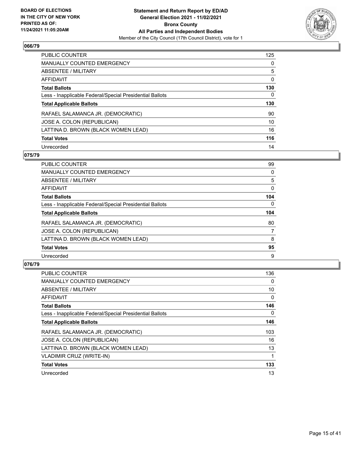

| <b>PUBLIC COUNTER</b>                                    | 125      |
|----------------------------------------------------------|----------|
| <b>MANUALLY COUNTED EMERGENCY</b>                        | $\Omega$ |
| ABSENTEE / MILITARY                                      | 5        |
| AFFIDAVIT                                                | 0        |
| <b>Total Ballots</b>                                     | 130      |
| Less - Inapplicable Federal/Special Presidential Ballots | 0        |
| <b>Total Applicable Ballots</b>                          | 130      |
| RAFAEL SALAMANCA JR. (DEMOCRATIC)                        | 90       |
| JOSE A. COLON (REPUBLICAN)                               | 10       |
| LATTINA D. BROWN (BLACK WOMEN LEAD)                      | 16       |
| <b>Total Votes</b>                                       | 116      |
|                                                          |          |

## **075/79**

| <b>PUBLIC COUNTER</b>                                    | 99       |
|----------------------------------------------------------|----------|
| <b>MANUALLY COUNTED EMERGENCY</b>                        | 0        |
| ABSENTEE / MILITARY                                      | 5        |
| <b>AFFIDAVIT</b>                                         | $\Omega$ |
| <b>Total Ballots</b>                                     | 104      |
| Less - Inapplicable Federal/Special Presidential Ballots | $\Omega$ |
| <b>Total Applicable Ballots</b>                          | 104      |
| RAFAEL SALAMANCA JR. (DEMOCRATIC)                        | 80       |
| JOSE A. COLON (REPUBLICAN)                               | 7        |
| LATTINA D. BROWN (BLACK WOMEN LEAD)                      | 8        |
| <b>Total Votes</b>                                       | 95       |
| Unrecorded                                               | 9        |

| <b>PUBLIC COUNTER</b>                                    | 136 |
|----------------------------------------------------------|-----|
| <b>MANUALLY COUNTED EMERGENCY</b>                        | 0   |
| ABSENTEE / MILITARY                                      | 10  |
| <b>AFFIDAVIT</b>                                         | 0   |
| <b>Total Ballots</b>                                     | 146 |
| Less - Inapplicable Federal/Special Presidential Ballots | 0   |
| <b>Total Applicable Ballots</b>                          | 146 |
| RAFAEL SALAMANCA JR. (DEMOCRATIC)                        | 103 |
| JOSE A. COLON (REPUBLICAN)                               | 16  |
| LATTINA D. BROWN (BLACK WOMEN LEAD)                      | 13  |
| <b>VLADIMIR CRUZ (WRITE-IN)</b>                          |     |
| <b>Total Votes</b>                                       | 133 |
| Unrecorded                                               | 13  |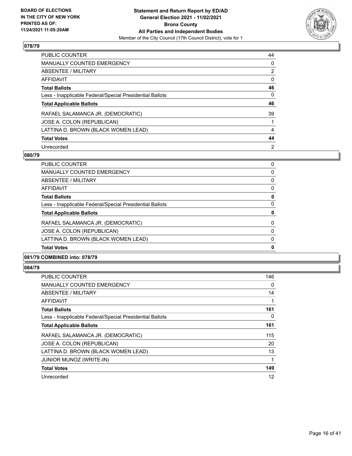

| <b>PUBLIC COUNTER</b>                                    | 44             |
|----------------------------------------------------------|----------------|
| <b>MANUALLY COUNTED EMERGENCY</b>                        | 0              |
| ABSENTEE / MILITARY                                      | $\overline{2}$ |
| AFFIDAVIT                                                | $\Omega$       |
| <b>Total Ballots</b>                                     | 46             |
| Less - Inapplicable Federal/Special Presidential Ballots | $\Omega$       |
| <b>Total Applicable Ballots</b>                          | 46             |
| RAFAEL SALAMANCA JR. (DEMOCRATIC)                        | 39             |
| JOSE A. COLON (REPUBLICAN)                               |                |
| LATTINA D. BROWN (BLACK WOMEN LEAD)                      | 4              |
|                                                          |                |
| <b>Total Votes</b>                                       | 44             |

## **080/79**

| <b>Total Votes</b>                                       | 0        |
|----------------------------------------------------------|----------|
| LATTINA D. BROWN (BLACK WOMEN LEAD)                      | 0        |
| JOSE A. COLON (REPUBLICAN)                               | $\Omega$ |
| RAFAEL SALAMANCA JR. (DEMOCRATIC)                        | $\Omega$ |
| <b>Total Applicable Ballots</b>                          | 0        |
| Less - Inapplicable Federal/Special Presidential Ballots | 0        |
| <b>Total Ballots</b>                                     | 0        |
| AFFIDAVIT                                                | $\Omega$ |
| ABSENTEE / MILITARY                                      | $\Omega$ |
| MANUALLY COUNTED EMERGENCY                               | 0        |
| <b>PUBLIC COUNTER</b>                                    | 0        |

# **081/79 COMBINED into: 078/79**

| <b>PUBLIC COUNTER</b>                                    | 146 |
|----------------------------------------------------------|-----|
| <b>MANUALLY COUNTED EMERGENCY</b>                        | 0   |
| ABSENTEE / MILITARY                                      | 14  |
| AFFIDAVIT                                                |     |
| <b>Total Ballots</b>                                     | 161 |
| Less - Inapplicable Federal/Special Presidential Ballots | 0   |
| <b>Total Applicable Ballots</b>                          | 161 |
| RAFAEL SALAMANCA JR. (DEMOCRATIC)                        | 115 |
| JOSE A. COLON (REPUBLICAN)                               | 20  |
| LATTINA D. BROWN (BLACK WOMEN LEAD)                      | 13  |
| <b>JUNIOR MUNOZ (WRITE-IN)</b>                           |     |
| <b>Total Votes</b>                                       | 149 |
| Unrecorded                                               | 12  |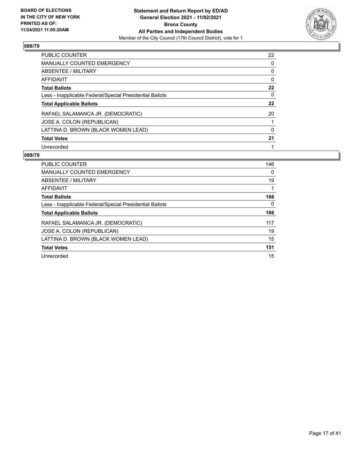

| <b>PUBLIC COUNTER</b>                                    | 22 |
|----------------------------------------------------------|----|
| <b>MANUALLY COUNTED EMERGENCY</b>                        | 0  |
| ABSENTEE / MILITARY                                      | 0  |
| AFFIDAVIT                                                | 0  |
| <b>Total Ballots</b>                                     | 22 |
| Less - Inapplicable Federal/Special Presidential Ballots | 0  |
| <b>Total Applicable Ballots</b>                          | 22 |
| RAFAEL SALAMANCA JR. (DEMOCRATIC)                        | 20 |
| JOSE A. COLON (REPUBLICAN)                               |    |
| LATTINA D. BROWN (BLACK WOMEN LEAD)                      | 0  |
| <b>Total Votes</b>                                       | 21 |
| Unrecorded                                               |    |

| <b>PUBLIC COUNTER</b>                                    | 146 |
|----------------------------------------------------------|-----|
| <b>MANUALLY COUNTED EMERGENCY</b>                        | 0   |
| ABSENTEE / MILITARY                                      | 19  |
| <b>AFFIDAVIT</b>                                         |     |
| <b>Total Ballots</b>                                     | 166 |
| Less - Inapplicable Federal/Special Presidential Ballots | 0   |
| <b>Total Applicable Ballots</b>                          | 166 |
|                                                          |     |
| RAFAEL SALAMANCA JR. (DEMOCRATIC)                        | 117 |
| JOSE A. COLON (REPUBLICAN)                               | 19  |
| LATTINA D. BROWN (BLACK WOMEN LEAD)                      | 15  |
| <b>Total Votes</b>                                       | 151 |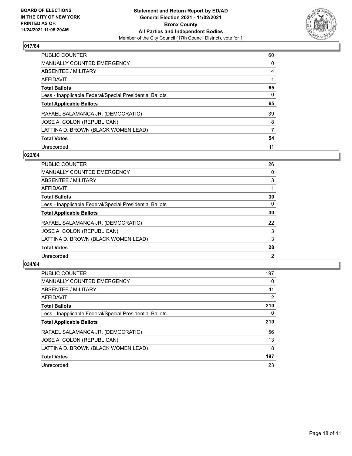

| <b>PUBLIC COUNTER</b>                                    | 60       |
|----------------------------------------------------------|----------|
| MANUALLY COUNTED EMERGENCY                               | 0        |
| ABSENTEE / MILITARY                                      | 4        |
| AFFIDAVIT                                                |          |
| <b>Total Ballots</b>                                     | 65       |
| Less - Inapplicable Federal/Special Presidential Ballots | $\Omega$ |
| <b>Total Applicable Ballots</b>                          | 65       |
| RAFAEL SALAMANCA JR. (DEMOCRATIC)                        | 39       |
| JOSE A. COLON (REPUBLICAN)                               | 8        |
| LATTINA D. BROWN (BLACK WOMEN LEAD)                      | 7        |
| <b>Total Votes</b>                                       | 54       |
|                                                          |          |

## **022/84**

| PUBLIC COUNTER                                           | 26             |
|----------------------------------------------------------|----------------|
| <b>MANUALLY COUNTED EMERGENCY</b>                        | $\Omega$       |
| ABSENTEE / MILITARY                                      | 3              |
| <b>AFFIDAVIT</b>                                         |                |
| <b>Total Ballots</b>                                     | 30             |
| Less - Inapplicable Federal/Special Presidential Ballots | $\Omega$       |
| <b>Total Applicable Ballots</b>                          | 30             |
| RAFAEL SALAMANCA JR. (DEMOCRATIC)                        | 22             |
| JOSE A. COLON (REPUBLICAN)                               | 3              |
| LATTINA D. BROWN (BLACK WOMEN LEAD)                      | 3              |
| <b>Total Votes</b>                                       | 28             |
| Unrecorded                                               | $\overline{2}$ |

| <b>PUBLIC COUNTER</b>                                    | 197      |
|----------------------------------------------------------|----------|
| <b>MANUALLY COUNTED EMERGENCY</b>                        | $\Omega$ |
| ABSENTEE / MILITARY                                      | 11       |
| AFFIDAVIT                                                | 2        |
| <b>Total Ballots</b>                                     | 210      |
| Less - Inapplicable Federal/Special Presidential Ballots | $\Omega$ |
| <b>Total Applicable Ballots</b>                          | 210      |
| RAFAEL SALAMANCA JR. (DEMOCRATIC)                        | 156      |
| JOSE A. COLON (REPUBLICAN)                               | 13       |
| LATTINA D. BROWN (BLACK WOMEN LEAD)                      | 18       |
| <b>Total Votes</b>                                       | 187      |
| Unrecorded                                               | 23       |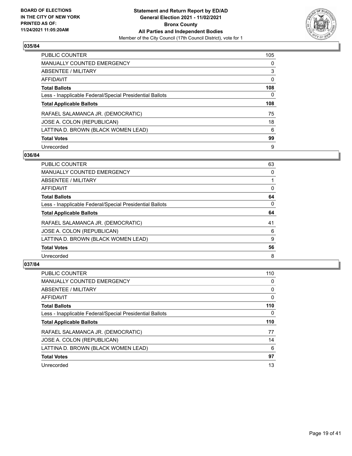

| PUBLIC COUNTER                                           | 105      |
|----------------------------------------------------------|----------|
| <b>MANUALLY COUNTED EMERGENCY</b>                        | $\Omega$ |
| ABSENTEE / MILITARY                                      | 3        |
| AFFIDAVIT                                                | $\Omega$ |
| <b>Total Ballots</b>                                     | 108      |
| Less - Inapplicable Federal/Special Presidential Ballots | 0        |
| <b>Total Applicable Ballots</b>                          | 108      |
| RAFAEL SALAMANCA JR. (DEMOCRATIC)                        | 75       |
| JOSE A. COLON (REPUBLICAN)                               | 18       |
| LATTINA D. BROWN (BLACK WOMEN LEAD)                      | 6        |
|                                                          |          |
| <b>Total Votes</b>                                       | 99       |

## **036/84**

| <b>PUBLIC COUNTER</b>                                    | 63       |
|----------------------------------------------------------|----------|
| MANUALLY COUNTED EMERGENCY                               | 0        |
| ABSENTEE / MILITARY                                      |          |
| <b>AFFIDAVIT</b>                                         | 0        |
| <b>Total Ballots</b>                                     | 64       |
| Less - Inapplicable Federal/Special Presidential Ballots | $\Omega$ |
| <b>Total Applicable Ballots</b>                          | 64       |
| RAFAEL SALAMANCA JR. (DEMOCRATIC)                        | 41       |
| JOSE A. COLON (REPUBLICAN)                               | 6        |
| LATTINA D. BROWN (BLACK WOMEN LEAD)                      | 9        |
| <b>Total Votes</b>                                       | 56       |
| Unrecorded                                               | 8        |

| <b>PUBLIC COUNTER</b>                                    | 110      |
|----------------------------------------------------------|----------|
| MANUALLY COUNTED EMERGENCY                               | $\Omega$ |
| ABSENTEE / MILITARY                                      | 0        |
| AFFIDAVIT                                                | 0        |
| <b>Total Ballots</b>                                     | 110      |
| Less - Inapplicable Federal/Special Presidential Ballots | 0        |
| <b>Total Applicable Ballots</b>                          | 110      |
| RAFAEL SALAMANCA JR. (DEMOCRATIC)                        | 77       |
| JOSE A. COLON (REPUBLICAN)                               | 14       |
| LATTINA D. BROWN (BLACK WOMEN LEAD)                      | 6        |
| <b>Total Votes</b>                                       | 97       |
|                                                          |          |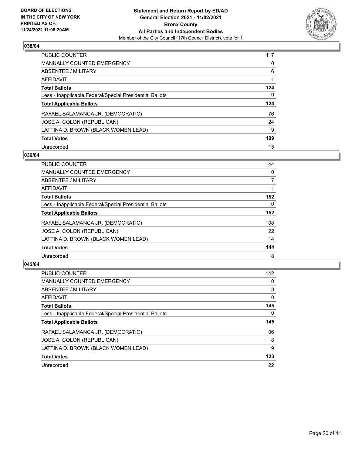

| <b>PUBLIC COUNTER</b>                                    | 117 |
|----------------------------------------------------------|-----|
| <b>MANUALLY COUNTED EMERGENCY</b>                        | 0   |
| ABSENTEE / MILITARY                                      | 6   |
| AFFIDAVIT                                                |     |
| <b>Total Ballots</b>                                     | 124 |
| Less - Inapplicable Federal/Special Presidential Ballots | 0   |
| <b>Total Applicable Ballots</b>                          | 124 |
| RAFAEL SALAMANCA JR. (DEMOCRATIC)                        | 76  |
| JOSE A. COLON (REPUBLICAN)                               | 24  |
| LATTINA D. BROWN (BLACK WOMEN LEAD)                      | 9   |
| <b>Total Votes</b>                                       | 109 |
| Unrecorded                                               | 15  |

## **039/84**

| <b>PUBLIC COUNTER</b>                                    | 144      |
|----------------------------------------------------------|----------|
| <b>MANUALLY COUNTED EMERGENCY</b>                        | 0        |
| <b>ABSENTEE / MILITARY</b>                               | 7        |
| <b>AFFIDAVIT</b>                                         |          |
| <b>Total Ballots</b>                                     | 152      |
| Less - Inapplicable Federal/Special Presidential Ballots | $\Omega$ |
| <b>Total Applicable Ballots</b>                          | 152      |
| RAFAEL SALAMANCA JR. (DEMOCRATIC)                        | 108      |
| JOSE A. COLON (REPUBLICAN)                               | 22       |
| LATTINA D. BROWN (BLACK WOMEN LEAD)                      | 14       |
| <b>Total Votes</b>                                       | 144      |
| Unrecorded                                               | 8        |

| <b>PUBLIC COUNTER</b>                                    | 142      |
|----------------------------------------------------------|----------|
| MANUALLY COUNTED EMERGENCY                               | 0        |
| ABSENTEE / MILITARY                                      | 3        |
| <b>AFFIDAVIT</b>                                         | $\Omega$ |
| <b>Total Ballots</b>                                     | 145      |
| Less - Inapplicable Federal/Special Presidential Ballots | $\Omega$ |
| <b>Total Applicable Ballots</b>                          | 145      |
| RAFAEL SALAMANCA JR. (DEMOCRATIC)                        | 106      |
| JOSE A. COLON (REPUBLICAN)                               | 8        |
| LATTINA D. BROWN (BLACK WOMEN LEAD)                      | 9        |
| <b>Total Votes</b>                                       | 123      |
| Unrecorded                                               | 22       |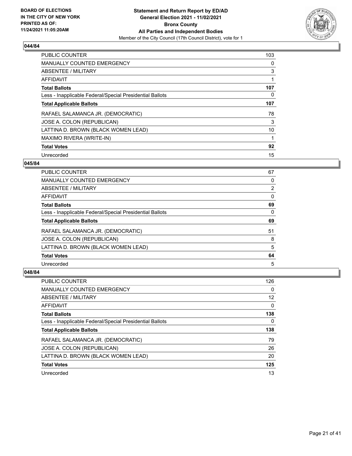

| PUBLIC COUNTER                                           | 103 |
|----------------------------------------------------------|-----|
| <b>MANUALLY COUNTED EMERGENCY</b>                        | 0   |
| ABSENTEE / MILITARY                                      | 3   |
| <b>AFFIDAVIT</b>                                         | 1   |
| <b>Total Ballots</b>                                     | 107 |
| Less - Inapplicable Federal/Special Presidential Ballots | 0   |
| <b>Total Applicable Ballots</b>                          | 107 |
| RAFAEL SALAMANCA JR. (DEMOCRATIC)                        | 78  |
| JOSE A. COLON (REPUBLICAN)                               | 3   |
| LATTINA D. BROWN (BLACK WOMEN LEAD)                      | 10  |
| MAXIMO RIVERA (WRITE-IN)                                 | 1   |
| <b>Total Votes</b>                                       | 92  |
| Unrecorded                                               | 15  |

## **045/84**

| <b>PUBLIC COUNTER</b>                                    | 67       |
|----------------------------------------------------------|----------|
| <b>MANUALLY COUNTED EMERGENCY</b>                        | 0        |
| ABSENTEE / MILITARY                                      | 2        |
| AFFIDAVIT                                                | $\Omega$ |
| <b>Total Ballots</b>                                     | 69       |
| Less - Inapplicable Federal/Special Presidential Ballots | 0        |
| <b>Total Applicable Ballots</b>                          | 69       |
| RAFAEL SALAMANCA JR. (DEMOCRATIC)                        | 51       |
| JOSE A. COLON (REPUBLICAN)                               | 8        |
| LATTINA D. BROWN (BLACK WOMEN LEAD)                      | 5        |
| <b>Total Votes</b>                                       | 64       |
| Unrecorded                                               | 5        |

| PUBLIC COUNTER                                           | 126               |
|----------------------------------------------------------|-------------------|
| <b>MANUALLY COUNTED EMERGENCY</b>                        | 0                 |
| ABSENTEE / MILITARY                                      | $12 \overline{ }$ |
| AFFIDAVIT                                                | 0                 |
| <b>Total Ballots</b>                                     | 138               |
| Less - Inapplicable Federal/Special Presidential Ballots | 0                 |
| <b>Total Applicable Ballots</b>                          | 138               |
| RAFAEL SALAMANCA JR. (DEMOCRATIC)                        | 79                |
| JOSE A. COLON (REPUBLICAN)                               | 26                |
| LATTINA D. BROWN (BLACK WOMEN LEAD)                      | 20                |
|                                                          |                   |
| <b>Total Votes</b>                                       | 125               |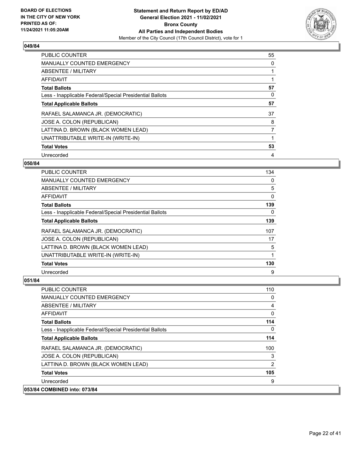

| <b>PUBLIC COUNTER</b>                                    | 55 |
|----------------------------------------------------------|----|
| <b>MANUALLY COUNTED EMERGENCY</b>                        | 0  |
| ABSENTEE / MILITARY                                      | 1  |
| <b>AFFIDAVIT</b>                                         |    |
| <b>Total Ballots</b>                                     | 57 |
| Less - Inapplicable Federal/Special Presidential Ballots | 0  |
| <b>Total Applicable Ballots</b>                          | 57 |
| RAFAEL SALAMANCA JR. (DEMOCRATIC)                        | 37 |
| JOSE A. COLON (REPUBLICAN)                               | 8  |
| LATTINA D. BROWN (BLACK WOMEN LEAD)                      | 7  |
| UNATTRIBUTABLE WRITE-IN (WRITE-IN)                       | 1  |
| <b>Total Votes</b>                                       | 53 |
| Unrecorded                                               | 4  |

## **050/84**

| <b>PUBLIC COUNTER</b>                                    | 134 |
|----------------------------------------------------------|-----|
| MANUALLY COUNTED EMERGENCY                               | 0   |
| ABSENTEE / MILITARY                                      | 5   |
| AFFIDAVIT                                                | 0   |
| <b>Total Ballots</b>                                     | 139 |
| Less - Inapplicable Federal/Special Presidential Ballots | 0   |
| <b>Total Applicable Ballots</b>                          | 139 |
| RAFAEL SALAMANCA JR. (DEMOCRATIC)                        | 107 |
| JOSE A. COLON (REPUBLICAN)                               | 17  |
| LATTINA D. BROWN (BLACK WOMEN LEAD)                      | 5   |
| UNATTRIBUTABLE WRITE-IN (WRITE-IN)                       |     |
| <b>Total Votes</b>                                       | 130 |
| Unrecorded                                               | 9   |

| <b>PUBLIC COUNTER</b>                                    | 110            |
|----------------------------------------------------------|----------------|
| <b>MANUALLY COUNTED EMERGENCY</b>                        | 0              |
| ABSENTEE / MILITARY                                      | 4              |
| AFFIDAVIT                                                | 0              |
| <b>Total Ballots</b>                                     | 114            |
| Less - Inapplicable Federal/Special Presidential Ballots | 0              |
| <b>Total Applicable Ballots</b>                          | 114            |
| RAFAEL SALAMANCA JR. (DEMOCRATIC)                        | 100            |
| JOSE A. COLON (REPUBLICAN)                               | 3              |
| LATTINA D. BROWN (BLACK WOMEN LEAD)                      | $\overline{2}$ |
| <b>Total Votes</b>                                       | 105            |
| Unrecorded                                               | 9              |
| 053/84 COMBINED into: 073/84                             |                |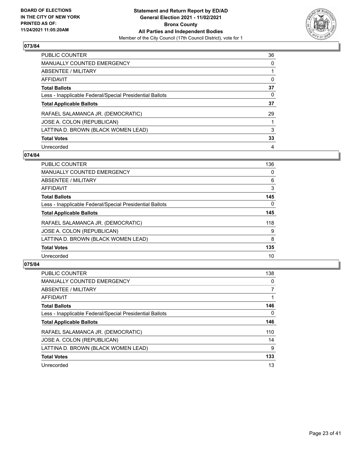

| <b>PUBLIC COUNTER</b>                                    | 36       |
|----------------------------------------------------------|----------|
| <b>MANUALLY COUNTED EMERGENCY</b>                        | $\Omega$ |
| ABSENTEE / MILITARY                                      |          |
| AFFIDAVIT                                                | 0        |
| <b>Total Ballots</b>                                     | 37       |
| Less - Inapplicable Federal/Special Presidential Ballots | 0        |
| <b>Total Applicable Ballots</b>                          | 37       |
| RAFAEL SALAMANCA JR. (DEMOCRATIC)                        | 29       |
| JOSE A. COLON (REPUBLICAN)                               |          |
| LATTINA D. BROWN (BLACK WOMEN LEAD)                      | 3        |
| <b>Total Votes</b>                                       | 33       |
| Unrecorded                                               | 4        |

## **074/84**

| <b>PUBLIC COUNTER</b>                                    | 136      |
|----------------------------------------------------------|----------|
| <b>MANUALLY COUNTED EMERGENCY</b>                        | 0        |
| ABSENTEE / MILITARY                                      | 6        |
| <b>AFFIDAVIT</b>                                         | 3        |
| <b>Total Ballots</b>                                     | 145      |
| Less - Inapplicable Federal/Special Presidential Ballots | $\Omega$ |
| <b>Total Applicable Ballots</b>                          | 145      |
| RAFAEL SALAMANCA JR. (DEMOCRATIC)                        | 118      |
| JOSE A. COLON (REPUBLICAN)                               | 9        |
| LATTINA D. BROWN (BLACK WOMEN LEAD)                      | 8        |
| <b>Total Votes</b>                                       | 135      |
| Unrecorded                                               | 10       |

| <b>PUBLIC COUNTER</b>                                    | 138      |
|----------------------------------------------------------|----------|
| <b>MANUALLY COUNTED EMERGENCY</b>                        | $\Omega$ |
| ABSENTEE / MILITARY                                      |          |
| <b>AFFIDAVIT</b>                                         |          |
| <b>Total Ballots</b>                                     | 146      |
| Less - Inapplicable Federal/Special Presidential Ballots | 0        |
| <b>Total Applicable Ballots</b>                          | 146      |
| RAFAEL SALAMANCA JR. (DEMOCRATIC)                        | 110      |
| JOSE A. COLON (REPUBLICAN)                               | 14       |
| LATTINA D. BROWN (BLACK WOMEN LEAD)                      | 9        |
| <b>Total Votes</b>                                       | 133      |
| Unrecorded                                               | 13       |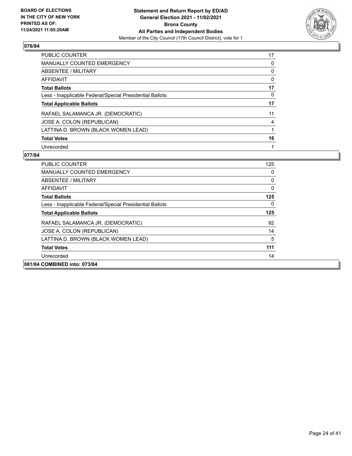

| <b>PUBLIC COUNTER</b>                                    | 17 |
|----------------------------------------------------------|----|
| <b>MANUALLY COUNTED EMERGENCY</b>                        | 0  |
| ABSENTEE / MILITARY                                      | 0  |
| AFFIDAVIT                                                | 0  |
| <b>Total Ballots</b>                                     | 17 |
| Less - Inapplicable Federal/Special Presidential Ballots | 0  |
| <b>Total Applicable Ballots</b>                          | 17 |
| RAFAEL SALAMANCA JR. (DEMOCRATIC)                        | 11 |
| JOSE A. COLON (REPUBLICAN)                               | 4  |
| LATTINA D. BROWN (BLACK WOMEN LEAD)                      |    |
| <b>Total Votes</b>                                       | 16 |
| Unrecorded                                               |    |

| PUBLIC COUNTER                                           | 125 |
|----------------------------------------------------------|-----|
| <b>MANUALLY COUNTED EMERGENCY</b>                        | 0   |
| ABSENTEE / MILITARY                                      | 0   |
| AFFIDAVIT                                                | 0   |
| <b>Total Ballots</b>                                     | 125 |
| Less - Inapplicable Federal/Special Presidential Ballots | 0   |
| <b>Total Applicable Ballots</b>                          | 125 |
| RAFAEL SALAMANCA JR. (DEMOCRATIC)                        | 92  |
| JOSE A. COLON (REPUBLICAN)                               | 14  |
| LATTINA D. BROWN (BLACK WOMEN LEAD)                      | 5   |
| <b>Total Votes</b>                                       | 111 |
| Unrecorded                                               | 14  |
| 081/84 COMBINED into: 073/84                             |     |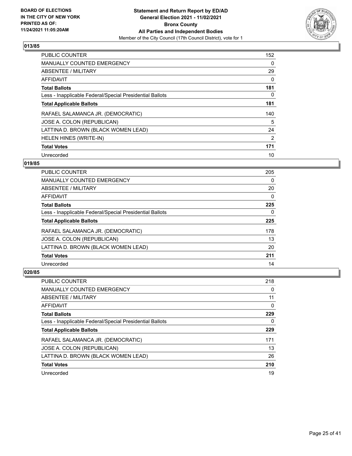

| PUBLIC COUNTER                                           | 152            |
|----------------------------------------------------------|----------------|
| <b>MANUALLY COUNTED EMERGENCY</b>                        | 0              |
| ABSENTEE / MILITARY                                      | 29             |
| <b>AFFIDAVIT</b>                                         | 0              |
| <b>Total Ballots</b>                                     | 181            |
| Less - Inapplicable Federal/Special Presidential Ballots | 0              |
| <b>Total Applicable Ballots</b>                          | 181            |
| RAFAEL SALAMANCA JR. (DEMOCRATIC)                        | 140            |
| JOSE A. COLON (REPUBLICAN)                               | 5              |
| LATTINA D. BROWN (BLACK WOMEN LEAD)                      | 24             |
| HELEN HINES (WRITE-IN)                                   | $\overline{2}$ |
| <b>Total Votes</b>                                       | 171            |
| Unrecorded                                               | 10             |

## **019/85**

| <b>PUBLIC COUNTER</b>                                    | 205      |
|----------------------------------------------------------|----------|
| <b>MANUALLY COUNTED EMERGENCY</b>                        | 0        |
| ABSENTEE / MILITARY                                      | 20       |
| <b>AFFIDAVIT</b>                                         | $\Omega$ |
| <b>Total Ballots</b>                                     | 225      |
| Less - Inapplicable Federal/Special Presidential Ballots | $\Omega$ |
| <b>Total Applicable Ballots</b>                          | 225      |
| RAFAEL SALAMANCA JR. (DEMOCRATIC)                        | 178      |
| JOSE A. COLON (REPUBLICAN)                               | 13       |
| LATTINA D. BROWN (BLACK WOMEN LEAD)                      | 20       |
| <b>Total Votes</b>                                       | 211      |
| Unrecorded                                               | 14       |

| <b>PUBLIC COUNTER</b>                                    | 218 |
|----------------------------------------------------------|-----|
| <b>MANUALLY COUNTED EMERGENCY</b>                        | 0   |
| ABSENTEE / MILITARY                                      | 11  |
| AFFIDAVIT                                                | 0   |
| <b>Total Ballots</b>                                     | 229 |
| Less - Inapplicable Federal/Special Presidential Ballots | 0   |
| <b>Total Applicable Ballots</b>                          | 229 |
| RAFAEL SALAMANCA JR. (DEMOCRATIC)                        | 171 |
| JOSE A. COLON (REPUBLICAN)                               | 13  |
| LATTINA D. BROWN (BLACK WOMEN LEAD)                      | 26  |
| <b>Total Votes</b>                                       | 210 |
| Unrecorded                                               | 19  |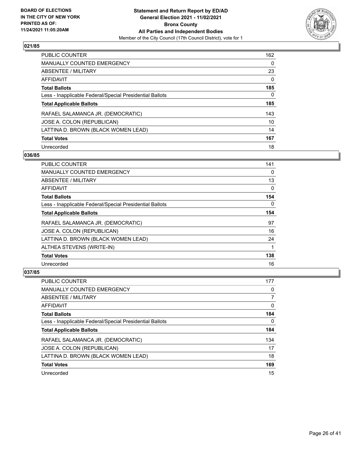

| <b>PUBLIC COUNTER</b>                                    | 162      |
|----------------------------------------------------------|----------|
| MANUALLY COUNTED EMERGENCY                               | 0        |
| ABSENTEE / MILITARY                                      | 23       |
| AFFIDAVIT                                                | $\Omega$ |
| <b>Total Ballots</b>                                     | 185      |
| Less - Inapplicable Federal/Special Presidential Ballots | 0        |
| <b>Total Applicable Ballots</b>                          | 185      |
| RAFAEL SALAMANCA JR. (DEMOCRATIC)                        | 143      |
| JOSE A. COLON (REPUBLICAN)                               | 10       |
| LATTINA D. BROWN (BLACK WOMEN LEAD)                      | 14       |
| <b>Total Votes</b>                                       | 167      |
| Unrecorded                                               | 18       |

## **036/85**

| PUBLIC COUNTER                                           | 141      |
|----------------------------------------------------------|----------|
| <b>MANUALLY COUNTED EMERGENCY</b>                        | 0        |
| ABSENTEE / MILITARY                                      | 13       |
| AFFIDAVIT                                                | 0        |
| <b>Total Ballots</b>                                     | 154      |
| Less - Inapplicable Federal/Special Presidential Ballots | $\Omega$ |
| <b>Total Applicable Ballots</b>                          | 154      |
| RAFAEL SALAMANCA JR. (DEMOCRATIC)                        | 97       |
| JOSE A. COLON (REPUBLICAN)                               | 16       |
| LATTINA D. BROWN (BLACK WOMEN LEAD)                      | 24       |
| ALTHEA STEVENS (WRITE-IN)                                |          |
| <b>Total Votes</b>                                       | 138      |
| Unrecorded                                               | 16       |

| <b>PUBLIC COUNTER</b>                                    | 177 |
|----------------------------------------------------------|-----|
| <b>MANUALLY COUNTED EMERGENCY</b>                        | 0   |
| ABSENTEE / MILITARY                                      |     |
| AFFIDAVIT                                                | 0   |
| <b>Total Ballots</b>                                     | 184 |
| Less - Inapplicable Federal/Special Presidential Ballots | 0   |
| <b>Total Applicable Ballots</b>                          | 184 |
| RAFAEL SALAMANCA JR. (DEMOCRATIC)                        | 134 |
| JOSE A. COLON (REPUBLICAN)                               | 17  |
| LATTINA D. BROWN (BLACK WOMEN LEAD)                      | 18  |
|                                                          |     |
| <b>Total Votes</b>                                       | 169 |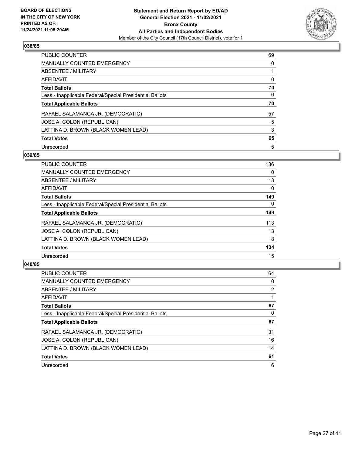

| <b>PUBLIC COUNTER</b>                                    | 69       |
|----------------------------------------------------------|----------|
| <b>MANUALLY COUNTED EMERGENCY</b>                        | $\Omega$ |
| ABSENTEE / MILITARY                                      |          |
| AFFIDAVIT                                                | 0        |
| <b>Total Ballots</b>                                     | 70       |
| Less - Inapplicable Federal/Special Presidential Ballots | 0        |
| <b>Total Applicable Ballots</b>                          | 70       |
| RAFAEL SALAMANCA JR. (DEMOCRATIC)                        | 57       |
| JOSE A. COLON (REPUBLICAN)                               | 5        |
| LATTINA D. BROWN (BLACK WOMEN LEAD)                      | 3        |
| <b>Total Votes</b>                                       | 65       |
| Unrecorded                                               | 5        |

## **039/85**

| <b>PUBLIC COUNTER</b>                                    | 136      |
|----------------------------------------------------------|----------|
| <b>MANUALLY COUNTED EMERGENCY</b>                        | $\Omega$ |
| ABSENTEE / MILITARY                                      | 13       |
| <b>AFFIDAVIT</b>                                         | $\Omega$ |
| <b>Total Ballots</b>                                     | 149      |
| Less - Inapplicable Federal/Special Presidential Ballots | $\Omega$ |
| <b>Total Applicable Ballots</b>                          | 149      |
| RAFAEL SALAMANCA JR. (DEMOCRATIC)                        | 113      |
| JOSE A. COLON (REPUBLICAN)                               | 13       |
| LATTINA D. BROWN (BLACK WOMEN LEAD)                      | 8        |
| <b>Total Votes</b>                                       | 134      |
| Unrecorded                                               | 15       |

| <b>PUBLIC COUNTER</b>                                    | 64 |
|----------------------------------------------------------|----|
| <b>MANUALLY COUNTED EMERGENCY</b>                        | 0  |
| ABSENTEE / MILITARY                                      | 2  |
| <b>AFFIDAVIT</b>                                         |    |
| <b>Total Ballots</b>                                     | 67 |
| Less - Inapplicable Federal/Special Presidential Ballots | 0  |
| <b>Total Applicable Ballots</b>                          | 67 |
| RAFAEL SALAMANCA JR. (DEMOCRATIC)                        | 31 |
| JOSE A. COLON (REPUBLICAN)                               | 16 |
| LATTINA D. BROWN (BLACK WOMEN LEAD)                      | 14 |
| <b>Total Votes</b>                                       | 61 |
| Unrecorded                                               | 6  |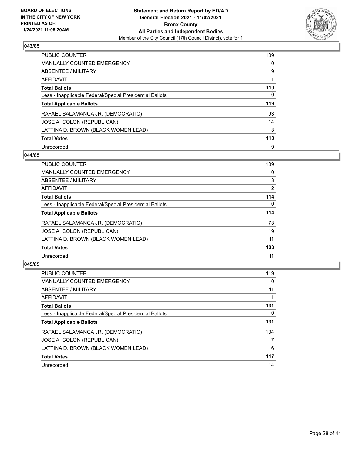

| <b>PUBLIC COUNTER</b>                                    | 109      |
|----------------------------------------------------------|----------|
| <b>MANUALLY COUNTED EMERGENCY</b>                        | $\Omega$ |
| ABSENTEE / MILITARY                                      | 9        |
| AFFIDAVIT                                                |          |
| <b>Total Ballots</b>                                     | 119      |
| Less - Inapplicable Federal/Special Presidential Ballots | 0        |
| <b>Total Applicable Ballots</b>                          | 119      |
| RAFAEL SALAMANCA JR. (DEMOCRATIC)                        | 93       |
| JOSE A. COLON (REPUBLICAN)                               | 14       |
| LATTINA D. BROWN (BLACK WOMEN LEAD)                      | 3        |
| <b>Total Votes</b>                                       | 110      |
| Unrecorded                                               | 9        |

## **044/85**

| <b>PUBLIC COUNTER</b>                                    | 109            |
|----------------------------------------------------------|----------------|
| <b>MANUALLY COUNTED EMERGENCY</b>                        | 0              |
| <b>ABSENTEE / MILITARY</b>                               | 3              |
| <b>AFFIDAVIT</b>                                         | $\overline{2}$ |
| <b>Total Ballots</b>                                     | 114            |
| Less - Inapplicable Federal/Special Presidential Ballots | $\Omega$       |
| <b>Total Applicable Ballots</b>                          | 114            |
| RAFAEL SALAMANCA JR. (DEMOCRATIC)                        | 73             |
| JOSE A. COLON (REPUBLICAN)                               | 19             |
| LATTINA D. BROWN (BLACK WOMEN LEAD)                      | 11             |
| <b>Total Votes</b>                                       | 103            |
| Unrecorded                                               | 11             |

| <b>PUBLIC COUNTER</b>                                    | 119 |
|----------------------------------------------------------|-----|
| MANUALLY COUNTED EMERGENCY                               | 0   |
| ABSENTEE / MILITARY                                      | 11  |
| AFFIDAVIT                                                |     |
| <b>Total Ballots</b>                                     | 131 |
| Less - Inapplicable Federal/Special Presidential Ballots | 0   |
| <b>Total Applicable Ballots</b>                          | 131 |
| RAFAEL SALAMANCA JR. (DEMOCRATIC)                        | 104 |
| JOSE A. COLON (REPUBLICAN)                               | 7   |
| LATTINA D. BROWN (BLACK WOMEN LEAD)                      | 6   |
| <b>Total Votes</b>                                       | 117 |
| Unrecorded                                               | 14  |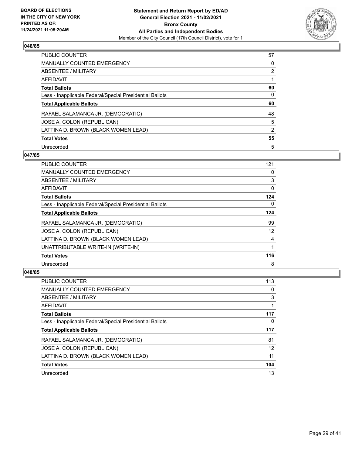

| <b>PUBLIC COUNTER</b>                                    | 57             |
|----------------------------------------------------------|----------------|
| <b>MANUALLY COUNTED EMERGENCY</b>                        | 0              |
| ABSENTEE / MILITARY                                      | $\overline{2}$ |
| AFFIDAVIT                                                |                |
| <b>Total Ballots</b>                                     | 60             |
| Less - Inapplicable Federal/Special Presidential Ballots | 0              |
| <b>Total Applicable Ballots</b>                          | 60             |
| RAFAEL SALAMANCA JR. (DEMOCRATIC)                        | 48             |
| JOSE A. COLON (REPUBLICAN)                               | 5              |
| LATTINA D. BROWN (BLACK WOMEN LEAD)                      | 2              |
| <b>Total Votes</b>                                       | 55             |
| Unrecorded                                               | 5              |

## **047/85**

| <b>PUBLIC COUNTER</b>                                    | 121      |
|----------------------------------------------------------|----------|
| <b>MANUALLY COUNTED EMERGENCY</b>                        | $\Omega$ |
| ABSENTEE / MILITARY                                      | 3        |
| AFFIDAVIT                                                | 0        |
| <b>Total Ballots</b>                                     | 124      |
| Less - Inapplicable Federal/Special Presidential Ballots | $\Omega$ |
| <b>Total Applicable Ballots</b>                          | 124      |
| RAFAEL SALAMANCA JR. (DEMOCRATIC)                        | 99       |
| JOSE A. COLON (REPUBLICAN)                               | 12       |
| LATTINA D. BROWN (BLACK WOMEN LEAD)                      | 4        |
| UNATTRIBUTABLE WRITE-IN (WRITE-IN)                       | 1        |
| <b>Total Votes</b>                                       | 116      |
| Unrecorded                                               | 8        |

| PUBLIC COUNTER                                           | 113 |
|----------------------------------------------------------|-----|
| <b>MANUALLY COUNTED EMERGENCY</b>                        | 0   |
| ABSENTEE / MILITARY                                      | 3   |
| AFFIDAVIT                                                |     |
| <b>Total Ballots</b>                                     | 117 |
| Less - Inapplicable Federal/Special Presidential Ballots | 0   |
| <b>Total Applicable Ballots</b>                          | 117 |
| RAFAEL SALAMANCA JR. (DEMOCRATIC)                        | 81  |
|                                                          |     |
| JOSE A. COLON (REPUBLICAN)                               | 12  |
| LATTINA D. BROWN (BLACK WOMEN LEAD)                      | 11  |
| <b>Total Votes</b>                                       | 104 |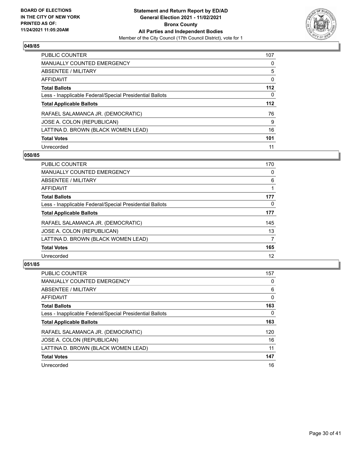

| <b>PUBLIC COUNTER</b>                                    | 107   |
|----------------------------------------------------------|-------|
| <b>MANUALLY COUNTED EMERGENCY</b>                        | 0     |
| ABSENTEE / MILITARY                                      | 5     |
| AFFIDAVIT                                                | 0     |
| <b>Total Ballots</b>                                     | $112$ |
| Less - Inapplicable Federal/Special Presidential Ballots | 0     |
| <b>Total Applicable Ballots</b>                          | 112   |
| RAFAEL SALAMANCA JR. (DEMOCRATIC)                        | 76    |
| JOSE A. COLON (REPUBLICAN)                               | 9     |
| LATTINA D. BROWN (BLACK WOMEN LEAD)                      | 16    |
| <b>Total Votes</b>                                       | 101   |
| Unrecorded                                               | 11    |

## **050/85**

| <b>PUBLIC COUNTER</b>                                    | 170 |
|----------------------------------------------------------|-----|
| <b>MANUALLY COUNTED EMERGENCY</b>                        | 0   |
| ABSENTEE / MILITARY                                      | 6   |
| <b>AFFIDAVIT</b>                                         |     |
| <b>Total Ballots</b>                                     | 177 |
| Less - Inapplicable Federal/Special Presidential Ballots | 0   |
| <b>Total Applicable Ballots</b>                          | 177 |
| RAFAEL SALAMANCA JR. (DEMOCRATIC)                        | 145 |
| JOSE A. COLON (REPUBLICAN)                               | 13  |
| LATTINA D. BROWN (BLACK WOMEN LEAD)                      | 7   |
| <b>Total Votes</b>                                       | 165 |
| Unrecorded                                               | 12  |

| <b>PUBLIC COUNTER</b>                                    | 157      |
|----------------------------------------------------------|----------|
| <b>MANUALLY COUNTED EMERGENCY</b>                        | 0        |
| ABSENTEE / MILITARY                                      | 6        |
| AFFIDAVIT                                                | $\Omega$ |
| <b>Total Ballots</b>                                     | 163      |
| Less - Inapplicable Federal/Special Presidential Ballots | $\Omega$ |
| <b>Total Applicable Ballots</b>                          | 163      |
| RAFAEL SALAMANCA JR. (DEMOCRATIC)                        | 120      |
| JOSE A. COLON (REPUBLICAN)                               | 16       |
| LATTINA D. BROWN (BLACK WOMEN LEAD)                      | 11       |
| <b>Total Votes</b>                                       | 147      |
| Unrecorded                                               | 16       |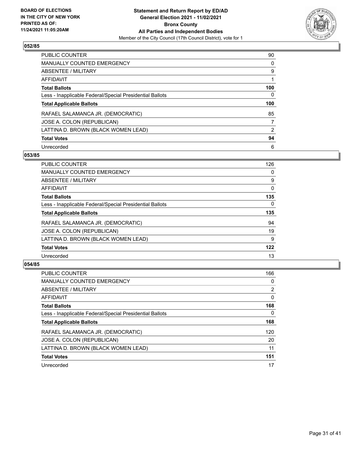

| <b>PUBLIC COUNTER</b>                                    | 90             |
|----------------------------------------------------------|----------------|
| <b>MANUALLY COUNTED EMERGENCY</b>                        | 0              |
| ABSENTEE / MILITARY                                      | 9              |
| AFFIDAVIT                                                |                |
| <b>Total Ballots</b>                                     | 100            |
| Less - Inapplicable Federal/Special Presidential Ballots | 0              |
| <b>Total Applicable Ballots</b>                          | 100            |
| RAFAEL SALAMANCA JR. (DEMOCRATIC)                        | 85             |
| JOSE A. COLON (REPUBLICAN)                               | 7              |
| LATTINA D. BROWN (BLACK WOMEN LEAD)                      | $\overline{2}$ |
| <b>Total Votes</b>                                       | 94             |
| Unrecorded                                               | 6              |

## **053/85**

| <b>PUBLIC COUNTER</b>                                    | 126      |
|----------------------------------------------------------|----------|
| <b>MANUALLY COUNTED EMERGENCY</b>                        | 0        |
| ABSENTEE / MILITARY                                      | 9        |
| <b>AFFIDAVIT</b>                                         | $\Omega$ |
| <b>Total Ballots</b>                                     | 135      |
| Less - Inapplicable Federal/Special Presidential Ballots | $\Omega$ |
| <b>Total Applicable Ballots</b>                          | 135      |
| RAFAEL SALAMANCA JR. (DEMOCRATIC)                        | 94       |
| JOSE A. COLON (REPUBLICAN)                               | 19       |
| LATTINA D. BROWN (BLACK WOMEN LEAD)                      | 9        |
| <b>Total Votes</b>                                       | 122      |
| Unrecorded                                               | 13       |

| <b>PUBLIC COUNTER</b>                                    | 166            |
|----------------------------------------------------------|----------------|
| <b>MANUALLY COUNTED EMERGENCY</b>                        | 0              |
| ABSENTEE / MILITARY                                      | $\overline{2}$ |
| AFFIDAVIT                                                | $\Omega$       |
| <b>Total Ballots</b>                                     | 168            |
| Less - Inapplicable Federal/Special Presidential Ballots | $\Omega$       |
| <b>Total Applicable Ballots</b>                          | 168            |
| RAFAEL SALAMANCA JR. (DEMOCRATIC)                        | 120            |
| JOSE A. COLON (REPUBLICAN)                               | 20             |
| LATTINA D. BROWN (BLACK WOMEN LEAD)                      | 11             |
| <b>Total Votes</b>                                       | 151            |
| Unrecorded                                               | 17             |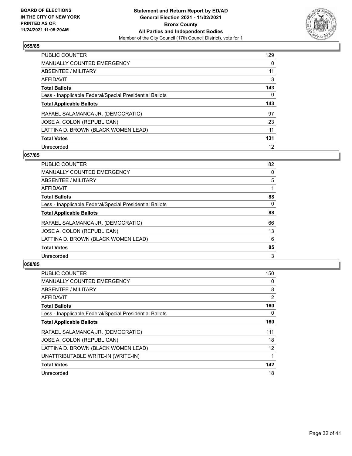

| <b>PUBLIC COUNTER</b>                                    | 129      |
|----------------------------------------------------------|----------|
| <b>MANUALLY COUNTED EMERGENCY</b>                        | $\Omega$ |
| ABSENTEE / MILITARY                                      | 11       |
| AFFIDAVIT                                                | 3        |
| <b>Total Ballots</b>                                     | 143      |
| Less - Inapplicable Federal/Special Presidential Ballots | 0        |
| <b>Total Applicable Ballots</b>                          | 143      |
| RAFAEL SALAMANCA JR. (DEMOCRATIC)                        | 97       |
| JOSE A. COLON (REPUBLICAN)                               | 23       |
| LATTINA D. BROWN (BLACK WOMEN LEAD)                      |          |
|                                                          | 11       |
| <b>Total Votes</b>                                       | 131      |

## **057/85**

| <b>PUBLIC COUNTER</b>                                    | 82       |
|----------------------------------------------------------|----------|
| <b>MANUALLY COUNTED EMERGENCY</b>                        | 0        |
| ABSENTEE / MILITARY                                      | 5        |
| <b>AFFIDAVIT</b>                                         |          |
| <b>Total Ballots</b>                                     | 88       |
| Less - Inapplicable Federal/Special Presidential Ballots | $\Omega$ |
| <b>Total Applicable Ballots</b>                          | 88       |
| RAFAEL SALAMANCA JR. (DEMOCRATIC)                        | 66       |
| JOSE A. COLON (REPUBLICAN)                               | 13       |
| LATTINA D. BROWN (BLACK WOMEN LEAD)                      | 6        |
| <b>Total Votes</b>                                       | 85       |
| Unrecorded                                               | 3        |

| <b>PUBLIC COUNTER</b>                                    | 150 |
|----------------------------------------------------------|-----|
| <b>MANUALLY COUNTED EMERGENCY</b>                        | 0   |
| ABSENTEE / MILITARY                                      | 8   |
| <b>AFFIDAVIT</b>                                         | 2   |
| <b>Total Ballots</b>                                     | 160 |
| Less - Inapplicable Federal/Special Presidential Ballots | 0   |
| <b>Total Applicable Ballots</b>                          | 160 |
| RAFAEL SALAMANCA JR. (DEMOCRATIC)                        | 111 |
| JOSE A. COLON (REPUBLICAN)                               | 18  |
| LATTINA D. BROWN (BLACK WOMEN LEAD)                      | 12  |
| UNATTRIBUTABLE WRITE-IN (WRITE-IN)                       |     |
| <b>Total Votes</b>                                       | 142 |
| Unrecorded                                               | 18  |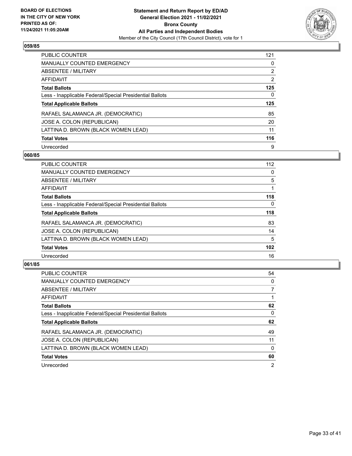

| <b>PUBLIC COUNTER</b>                                    | 121 |
|----------------------------------------------------------|-----|
| <b>MANUALLY COUNTED EMERGENCY</b>                        | 0   |
| ABSENTEE / MILITARY                                      | 2   |
| AFFIDAVIT                                                | 2   |
| <b>Total Ballots</b>                                     | 125 |
| Less - Inapplicable Federal/Special Presidential Ballots | 0   |
| <b>Total Applicable Ballots</b>                          | 125 |
| RAFAEL SALAMANCA JR. (DEMOCRATIC)                        | 85  |
| JOSE A. COLON (REPUBLICAN)                               | 20  |
| LATTINA D. BROWN (BLACK WOMEN LEAD)                      | 11  |
| <b>Total Votes</b>                                       | 116 |
| Unrecorded                                               | 9   |

## **060/85**

| <b>PUBLIC COUNTER</b>                                    | 112      |
|----------------------------------------------------------|----------|
| <b>MANUALLY COUNTED EMERGENCY</b>                        | 0        |
| ABSENTEE / MILITARY                                      | 5        |
| <b>AFFIDAVIT</b>                                         |          |
| <b>Total Ballots</b>                                     | 118      |
| Less - Inapplicable Federal/Special Presidential Ballots | $\Omega$ |
| <b>Total Applicable Ballots</b>                          | 118      |
| RAFAEL SALAMANCA JR. (DEMOCRATIC)                        | 83       |
| JOSE A. COLON (REPUBLICAN)                               | 14       |
| LATTINA D. BROWN (BLACK WOMEN LEAD)                      | 5        |
| <b>Total Votes</b>                                       | 102      |
| Unrecorded                                               | 16       |

| <b>PUBLIC COUNTER</b>                                    | 54             |
|----------------------------------------------------------|----------------|
| <b>MANUALLY COUNTED EMERGENCY</b>                        | $\Omega$       |
| ABSENTEE / MILITARY                                      | 7              |
| AFFIDAVIT                                                |                |
| <b>Total Ballots</b>                                     | 62             |
| Less - Inapplicable Federal/Special Presidential Ballots | $\Omega$       |
| <b>Total Applicable Ballots</b>                          | 62             |
| RAFAEL SALAMANCA JR. (DEMOCRATIC)                        | 49             |
| JOSE A. COLON (REPUBLICAN)                               | 11             |
| LATTINA D. BROWN (BLACK WOMEN LEAD)                      | $\Omega$       |
| <b>Total Votes</b>                                       | 60             |
| Unrecorded                                               | $\overline{2}$ |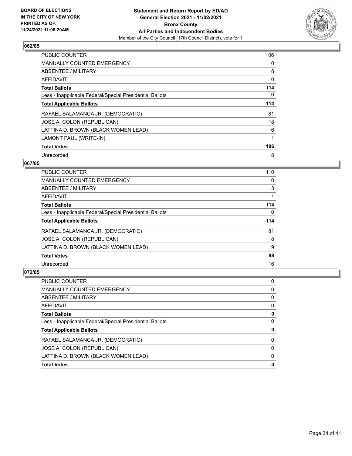

| PUBLIC COUNTER                                           | 106 |
|----------------------------------------------------------|-----|
| <b>MANUALLY COUNTED EMERGENCY</b>                        | 0   |
| ABSENTEE / MILITARY                                      | 8   |
| <b>AFFIDAVIT</b>                                         | 0   |
| <b>Total Ballots</b>                                     | 114 |
| Less - Inapplicable Federal/Special Presidential Ballots | 0   |
| <b>Total Applicable Ballots</b>                          | 114 |
| RAFAEL SALAMANCA JR. (DEMOCRATIC)                        | 81  |
| JOSE A. COLON (REPUBLICAN)                               | 18  |
| LATTINA D. BROWN (BLACK WOMEN LEAD)                      | 6   |
| LAMONT PAUL (WRITE-IN)                                   |     |
| <b>Total Votes</b>                                       | 106 |
| Unrecorded                                               | 8   |

# **067/85**

| <b>PUBLIC COUNTER</b>                                    | 110      |
|----------------------------------------------------------|----------|
| <b>MANUALLY COUNTED EMERGENCY</b>                        | 0        |
| ABSENTEE / MILITARY                                      | 3        |
| <b>AFFIDAVIT</b>                                         |          |
| <b>Total Ballots</b>                                     | 114      |
| Less - Inapplicable Federal/Special Presidential Ballots | $\Omega$ |
| <b>Total Applicable Ballots</b>                          | 114      |
| RAFAEL SALAMANCA JR. (DEMOCRATIC)                        | 81       |
| JOSE A. COLON (REPUBLICAN)                               | 8        |
| LATTINA D. BROWN (BLACK WOMEN LEAD)                      | 9        |
| <b>Total Votes</b>                                       | 98       |
| Unrecorded                                               | 16       |

| <b>PUBLIC COUNTER</b>                                    | 0 |
|----------------------------------------------------------|---|
| <b>MANUALLY COUNTED EMERGENCY</b>                        | 0 |
| <b>ABSENTEE / MILITARY</b>                               | 0 |
| <b>AFFIDAVIT</b>                                         | 0 |
| <b>Total Ballots</b>                                     | 0 |
| Less - Inapplicable Federal/Special Presidential Ballots | 0 |
| <b>Total Applicable Ballots</b>                          | 0 |
| RAFAEL SALAMANCA JR. (DEMOCRATIC)                        | 0 |
| JOSE A. COLON (REPUBLICAN)                               | 0 |
| LATTINA D. BROWN (BLACK WOMEN LEAD)                      | 0 |
| <b>Total Votes</b>                                       | 0 |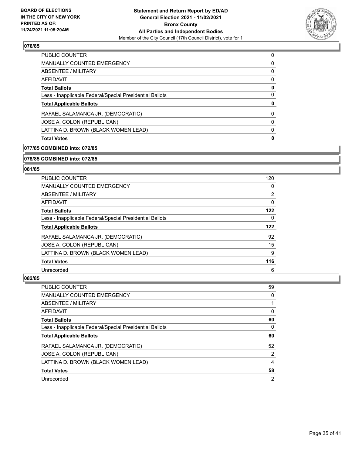

| <b>Total Votes</b>                                       | 0        |
|----------------------------------------------------------|----------|
| LATTINA D. BROWN (BLACK WOMEN LEAD)                      | $\Omega$ |
| JOSE A. COLON (REPUBLICAN)                               | $\Omega$ |
| RAFAEL SALAMANCA JR. (DEMOCRATIC)                        | $\Omega$ |
| <b>Total Applicable Ballots</b>                          | 0        |
| Less - Inapplicable Federal/Special Presidential Ballots | 0        |
| <b>Total Ballots</b>                                     | 0        |
| AFFIDAVIT                                                | 0        |
| ABSENTEE / MILITARY                                      | 0        |
| MANUALLY COUNTED EMERGENCY                               | $\Omega$ |
| <b>PUBLIC COUNTER</b>                                    | 0        |

## **077/85 COMBINED into: 072/85**

## **078/85 COMBINED into: 072/85**

## **081/85**

| PUBLIC COUNTER                                           | 120            |
|----------------------------------------------------------|----------------|
| MANUALLY COUNTED EMERGENCY                               | 0              |
| ABSENTEE / MILITARY                                      | $\overline{2}$ |
| AFFIDAVIT                                                | 0              |
| <b>Total Ballots</b>                                     | 122            |
| Less - Inapplicable Federal/Special Presidential Ballots | 0              |
| <b>Total Applicable Ballots</b>                          | 122            |
| RAFAEL SALAMANCA JR. (DEMOCRATIC)                        | 92             |
| JOSE A. COLON (REPUBLICAN)                               | 15             |
| LATTINA D. BROWN (BLACK WOMEN LEAD)                      | 9              |
| <b>Total Votes</b>                                       | 116            |
| Unrecorded                                               | 6              |

| PUBLIC COUNTER                                           | 59 |
|----------------------------------------------------------|----|
| <b>MANUALLY COUNTED EMERGENCY</b>                        | 0  |
| ABSENTEE / MILITARY                                      |    |
| AFFIDAVIT                                                | 0  |
| <b>Total Ballots</b>                                     | 60 |
| Less - Inapplicable Federal/Special Presidential Ballots | 0  |
|                                                          |    |
| <b>Total Applicable Ballots</b>                          | 60 |
| RAFAEL SALAMANCA JR. (DEMOCRATIC)                        | 52 |
| JOSE A. COLON (REPUBLICAN)                               | 2  |
| LATTINA D. BROWN (BLACK WOMEN LEAD)                      | 4  |
| <b>Total Votes</b>                                       | 58 |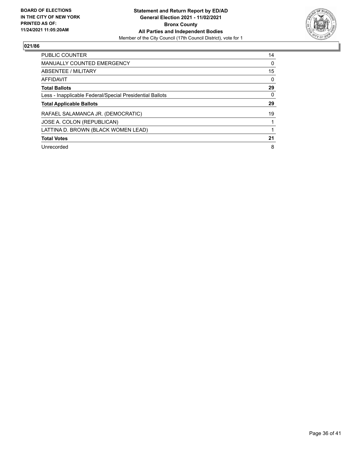

| <b>PUBLIC COUNTER</b>                                    | 14 |
|----------------------------------------------------------|----|
| <b>MANUALLY COUNTED EMERGENCY</b>                        | 0  |
| ABSENTEE / MILITARY                                      | 15 |
| <b>AFFIDAVIT</b>                                         | 0  |
| <b>Total Ballots</b>                                     | 29 |
| Less - Inapplicable Federal/Special Presidential Ballots | 0  |
| <b>Total Applicable Ballots</b>                          | 29 |
| RAFAEL SALAMANCA JR. (DEMOCRATIC)                        | 19 |
| JOSE A. COLON (REPUBLICAN)                               |    |
| LATTINA D. BROWN (BLACK WOMEN LEAD)                      |    |
| <b>Total Votes</b>                                       | 21 |
| Unrecorded                                               | 8  |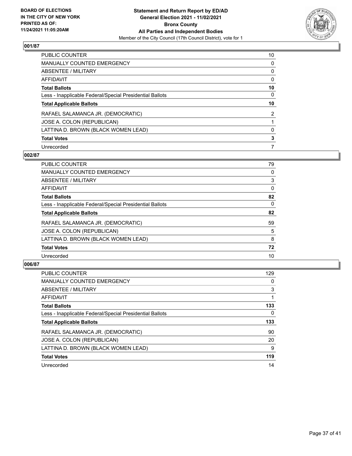

| <b>PUBLIC COUNTER</b>                                    | 10       |
|----------------------------------------------------------|----------|
| <b>MANUALLY COUNTED EMERGENCY</b>                        | $\Omega$ |
| ABSENTEE / MILITARY                                      | 0        |
| AFFIDAVIT                                                | 0        |
| <b>Total Ballots</b>                                     | 10       |
| Less - Inapplicable Federal/Special Presidential Ballots | 0        |
| <b>Total Applicable Ballots</b>                          | 10       |
| RAFAEL SALAMANCA JR. (DEMOCRATIC)                        | 2        |
| JOSE A. COLON (REPUBLICAN)                               |          |
| LATTINA D. BROWN (BLACK WOMEN LEAD)                      | 0        |
| <b>Total Votes</b>                                       | 3        |
| Unrecorded                                               |          |

## **002/87**

| <b>PUBLIC COUNTER</b>                                    | 79       |
|----------------------------------------------------------|----------|
| <b>MANUALLY COUNTED EMERGENCY</b>                        | 0        |
| ABSENTEE / MILITARY                                      | 3        |
| <b>AFFIDAVIT</b>                                         | $\Omega$ |
| <b>Total Ballots</b>                                     | 82       |
| Less - Inapplicable Federal/Special Presidential Ballots | $\Omega$ |
| <b>Total Applicable Ballots</b>                          | 82       |
| RAFAEL SALAMANCA JR. (DEMOCRATIC)                        | 59       |
| JOSE A. COLON (REPUBLICAN)                               | 5        |
| LATTINA D. BROWN (BLACK WOMEN LEAD)                      | 8        |
| <b>Total Votes</b>                                       | 72       |
| Unrecorded                                               | 10       |

| <b>PUBLIC COUNTER</b>                                    | 129      |
|----------------------------------------------------------|----------|
| <b>MANUALLY COUNTED EMERGENCY</b>                        | $\Omega$ |
| ABSENTEE / MILITARY                                      | 3        |
| AFFIDAVIT                                                |          |
| <b>Total Ballots</b>                                     | 133      |
| Less - Inapplicable Federal/Special Presidential Ballots | $\Omega$ |
| <b>Total Applicable Ballots</b>                          | 133      |
| RAFAEL SALAMANCA JR. (DEMOCRATIC)                        | 90       |
| JOSE A. COLON (REPUBLICAN)                               | 20       |
| LATTINA D. BROWN (BLACK WOMEN LEAD)                      | 9        |
| <b>Total Votes</b>                                       | 119      |
| Unrecorded                                               | 14       |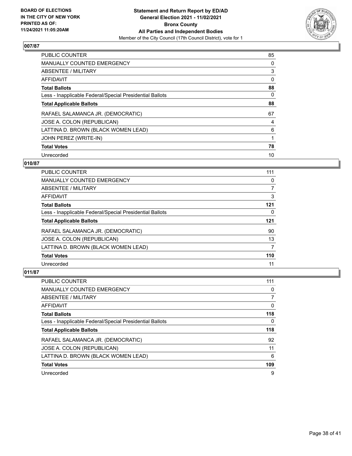

| <b>PUBLIC COUNTER</b>                                    | 85 |
|----------------------------------------------------------|----|
| <b>MANUALLY COUNTED EMERGENCY</b>                        | 0  |
| ABSENTEE / MILITARY                                      | 3  |
| AFFIDAVIT                                                | 0  |
| <b>Total Ballots</b>                                     | 88 |
| Less - Inapplicable Federal/Special Presidential Ballots | 0  |
| <b>Total Applicable Ballots</b>                          | 88 |
| RAFAEL SALAMANCA JR. (DEMOCRATIC)                        | 67 |
| JOSE A. COLON (REPUBLICAN)                               | 4  |
| LATTINA D. BROWN (BLACK WOMEN LEAD)                      | 6  |
| JOHN PEREZ (WRITE-IN)                                    |    |
| <b>Total Votes</b>                                       | 78 |
| Unrecorded                                               | 10 |

## **010/87**

| <b>PUBLIC COUNTER</b>                                    | 111 |
|----------------------------------------------------------|-----|
| MANUALLY COUNTED EMERGENCY                               | 0   |
| ABSENTEE / MILITARY                                      | 7   |
| <b>AFFIDAVIT</b>                                         | 3   |
| <b>Total Ballots</b>                                     | 121 |
| Less - Inapplicable Federal/Special Presidential Ballots | 0   |
| <b>Total Applicable Ballots</b>                          | 121 |
| RAFAEL SALAMANCA JR. (DEMOCRATIC)                        | 90  |
| JOSE A. COLON (REPUBLICAN)                               | 13  |
| LATTINA D. BROWN (BLACK WOMEN LEAD)                      | 7   |
| <b>Total Votes</b>                                       | 110 |
| Unrecorded                                               | 11  |

| <b>PUBLIC COUNTER</b>                                    | 111 |
|----------------------------------------------------------|-----|
| <b>MANUALLY COUNTED EMERGENCY</b>                        | 0   |
| ABSENTEE / MILITARY                                      |     |
| AFFIDAVIT                                                | 0   |
| <b>Total Ballots</b>                                     | 118 |
| Less - Inapplicable Federal/Special Presidential Ballots | 0   |
| <b>Total Applicable Ballots</b>                          | 118 |
|                                                          |     |
| RAFAEL SALAMANCA JR. (DEMOCRATIC)                        | 92  |
| JOSE A. COLON (REPUBLICAN)                               | 11  |
| LATTINA D. BROWN (BLACK WOMEN LEAD)                      | 6   |
| <b>Total Votes</b>                                       | 109 |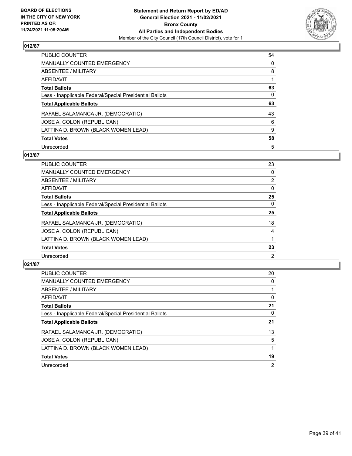

| <b>PUBLIC COUNTER</b>                                    | 54       |
|----------------------------------------------------------|----------|
| <b>MANUALLY COUNTED EMERGENCY</b>                        | 0        |
| ABSENTEE / MILITARY                                      | 8        |
| AFFIDAVIT                                                |          |
| <b>Total Ballots</b>                                     | 63       |
| Less - Inapplicable Federal/Special Presidential Ballots | $\Omega$ |
| <b>Total Applicable Ballots</b>                          | 63       |
| RAFAEL SALAMANCA JR. (DEMOCRATIC)                        | 43       |
| JOSE A. COLON (REPUBLICAN)                               | 6        |
| LATTINA D. BROWN (BLACK WOMEN LEAD)                      | 9        |
| <b>Total Votes</b>                                       | 58       |
| Unrecorded                                               | 5        |

## **013/87**

| <b>PUBLIC COUNTER</b>                                    | 23             |
|----------------------------------------------------------|----------------|
| <b>MANUALLY COUNTED EMERGENCY</b>                        | $\Omega$       |
| ABSENTEE / MILITARY                                      | $\overline{2}$ |
| AFFIDAVIT                                                | $\Omega$       |
| <b>Total Ballots</b>                                     | 25             |
| Less - Inapplicable Federal/Special Presidential Ballots | 0              |
| <b>Total Applicable Ballots</b>                          | 25             |
| RAFAEL SALAMANCA JR. (DEMOCRATIC)                        | 18             |
| JOSE A. COLON (REPUBLICAN)                               | 4              |
| LATTINA D. BROWN (BLACK WOMEN LEAD)                      |                |
| <b>Total Votes</b>                                       | 23             |
| Unrecorded                                               | $\overline{2}$ |

| <b>PUBLIC COUNTER</b>                                    | 20             |
|----------------------------------------------------------|----------------|
| <b>MANUALLY COUNTED EMERGENCY</b>                        | $\Omega$       |
| ABSENTEE / MILITARY                                      |                |
| <b>AFFIDAVIT</b>                                         | 0              |
| <b>Total Ballots</b>                                     | 21             |
| Less - Inapplicable Federal/Special Presidential Ballots | 0              |
| <b>Total Applicable Ballots</b>                          | 21             |
| RAFAEL SALAMANCA JR. (DEMOCRATIC)                        | 13             |
| JOSE A. COLON (REPUBLICAN)                               | 5              |
| LATTINA D. BROWN (BLACK WOMEN LEAD)                      |                |
| <b>Total Votes</b>                                       | 19             |
| Unrecorded                                               | $\overline{2}$ |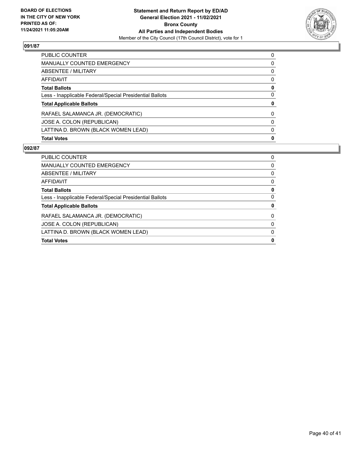

| <b>Total Votes</b>                                       | $\mathbf{0}$ |
|----------------------------------------------------------|--------------|
| LATTINA D. BROWN (BLACK WOMEN LEAD)                      | $\Omega$     |
| JOSE A. COLON (REPUBLICAN)                               | 0            |
| RAFAEL SALAMANCA JR. (DEMOCRATIC)                        | $\Omega$     |
| <b>Total Applicable Ballots</b>                          | 0            |
| Less - Inapplicable Federal/Special Presidential Ballots | 0            |
| <b>Total Ballots</b>                                     | 0            |
| AFFIDAVIT                                                | 0            |
| ABSENTEE / MILITARY                                      | $\Omega$     |
| <b>MANUALLY COUNTED EMERGENCY</b>                        | 0            |
| <b>PUBLIC COUNTER</b>                                    | $\Omega$     |

| <b>PUBLIC COUNTER</b>                                    | 0 |
|----------------------------------------------------------|---|
| <b>MANUALLY COUNTED EMERGENCY</b>                        | 0 |
| ABSENTEE / MILITARY                                      | 0 |
| AFFIDAVIT                                                | 0 |
| <b>Total Ballots</b>                                     | 0 |
| Less - Inapplicable Federal/Special Presidential Ballots | 0 |
| <b>Total Applicable Ballots</b>                          | 0 |
| RAFAEL SALAMANCA JR. (DEMOCRATIC)                        | 0 |
| JOSE A. COLON (REPUBLICAN)                               | 0 |
| LATTINA D. BROWN (BLACK WOMEN LEAD)                      | 0 |
| <b>Total Votes</b>                                       | 0 |
|                                                          |   |